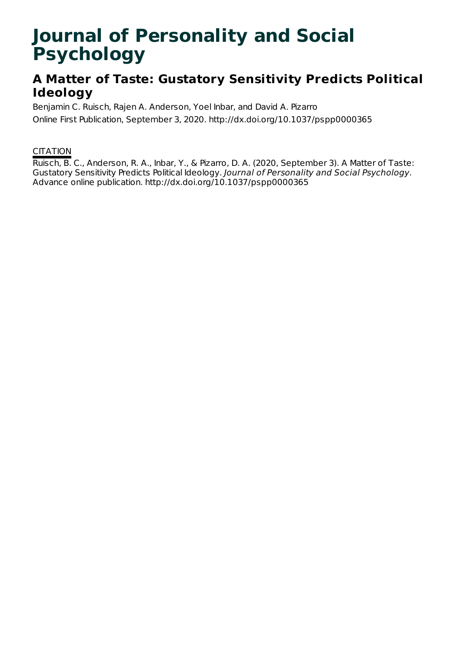# **Journal of Personality and Social Psychology**

# **A Matter of Taste: Gustatory Sensitivity Predicts Political Ideology**

Benjamin C. Ruisch, Rajen A. Anderson, Yoel Inbar, and David A. Pizarro

Online First Publication, September 3, 2020. http://dx.doi.org/10.1037/pspp0000365

### **CITATION**

Ruisch, B. C., Anderson, R. A., Inbar, Y., & Pizarro, D. A. (2020, September 3). A Matter of Taste: Gustatory Sensitivity Predicts Political Ideology. Journal of Personality and Social Psychology. Advance online publication. http://dx.doi.org/10.1037/pspp0000365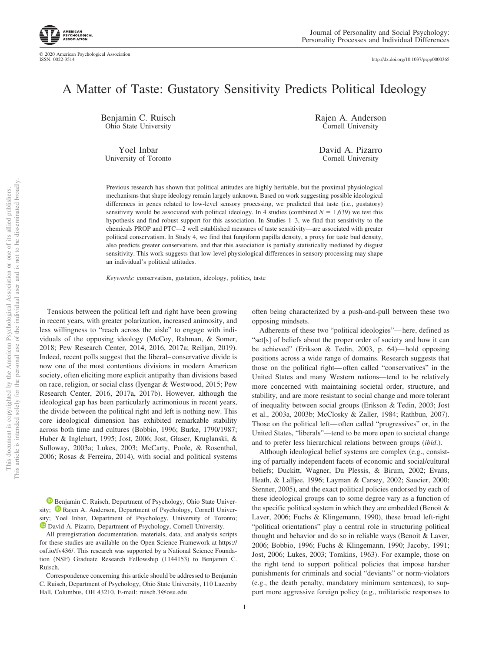http://dx.doi.org[/10.1037/pspp0000365](http://dx.doi.org/10.1037/pspp0000365)

## A Matter of Taste: Gustatory Sensitivity Predicts Political Ideology

Benjamin C. Ruisch Ohio State University

Yoel Inbar University of Toronto Rajen A. Anderson Cornell University

David A. Pizarro Cornell University

Previous research has shown that political attitudes are highly heritable, but the proximal physiological mechanisms that shape ideology remain largely unknown. Based on work suggesting possible ideological differences in genes related to low-level sensory processing, we predicted that taste (i.e., gustatory) sensitivity would be associated with political ideology. In 4 studies (combined  $N = 1,639$ ) we test this hypothesis and find robust support for this association. In Studies 1–3, we find that sensitivity to the chemicals PROP and PTC—2 well established measures of taste sensitivity—are associated with greater political conservatism. In Study 4, we find that fungiform papilla density, a proxy for taste bud density, also predicts greater conservatism, and that this association is partially statistically mediated by disgust sensitivity. This work suggests that low-level physiological differences in sensory processing may shape an individual's political attitudes.

*Keywords:* conservatism, gustation, ideology, politics, taste

Tensions between the political left and right have been growing in recent years, with greater polarization, increased animosity, and less willingness to "reach across the aisle" to engage with individuals of the opposing ideology (McCoy, Rahman, & Somer, 2018; Pew Research Center, 2014, 2016, 2017a; Reiljan, 2019). Indeed, recent polls suggest that the liberal– conservative divide is now one of the most contentious divisions in modern American society, often eliciting more explicit antipathy than divisions based on race, religion, or social class (Iyengar & Westwood, 2015; Pew Research Center, 2016, 2017a, 2017b). However, although the ideological gap has been particularly acrimonious in recent years, the divide between the political right and left is nothing new. This core ideological dimension has exhibited remarkable stability across both time and cultures (Bobbio, 1996; Burke, 1790/1987; Huber & Inglehart, 1995; Jost, 2006; Jost, Glaser, Kruglanski, & Sulloway, 2003a; Lukes, 2003; McCarty, Poole, & Rosenthal, 2006; Rosas & Ferreira, 2014), with social and political systems often being characterized by a push-and-pull between these two opposing mindsets.

Adherents of these two "political ideologies"— here, defined as "set[s] of beliefs about the proper order of society and how it can be achieved" (Erikson & Tedin, 2003, p. 64)— hold opposing positions across a wide range of domains. Research suggests that those on the political right— often called "conservatives" in the United States and many Western nations—tend to be relatively more concerned with maintaining societal order, structure, and stability, and are more resistant to social change and more tolerant of inequality between social groups (Erikson & Tedin, 2003; Jost et al., 2003a, 2003b; McClosky & Zaller, 1984; Rathbun, 2007). Those on the political left— often called "progressives" or, in the United States, "liberals"—tend to be more open to societal change and to prefer less hierarchical relations between groups (*ibid*.).

Although ideological belief systems are complex (e.g., consisting of partially independent facets of economic and social/cultural beliefs; Duckitt, Wagner, Du Plessis, & Birum, 2002; Evans, Heath, & Lalljee, 1996; Layman & Carsey, 2002; Saucier, 2000; Stenner, 2005), and the exact political policies endorsed by each of these ideological groups can to some degree vary as a function of the specific political system in which they are embedded (Benoit & Laver, 2006; Fuchs & Klingemann, 1990), these broad left-right "political orientations" play a central role in structuring political thought and behavior and do so in reliable ways (Benoit & Laver, 2006; Bobbio, 1996; Fuchs & Klingemann, 1990; Jacoby, 1991; Jost, 2006; Lukes, 2003; Tomkins, 1963). For example, those on the right tend to support political policies that impose harsher punishments for criminals and social "deviants" or norm-violators (e.g., the death penalty, mandatory minimum sentences), to support more aggressive foreign policy (e.g., militaristic responses to

<sup>&</sup>lt;sup>1</sup> [Benjamin C. Ruisch,](https://orcid.org/0000-0002-4087-1834) Department of Psychology, Ohio State University;  $\bullet$  [Rajen A. Anderson,](https://orcid.org/0000-0002-6285-8358) Department of Psychology, Cornell University; Yoel Inbar, Department of Psychology, University of Toronto;  $\bullet$  [David A. Pizarro,](https://orcid.org/0000-0002-6698-8694) Department of Psychology, Cornell University.

All preregistration documentation, materials, data, and analysis scripts for these studies are available on the Open Science Framework at [https://](https://osf.io/fv436/) [osf.io/fv436/.](https://osf.io/fv436/) This research was supported by a National Science Foundation (NSF) Graduate Research Fellowship (1144153) to Benjamin C. Ruisch.

Correspondence concerning this article should be addressed to Benjamin C. Ruisch, Department of Psychology, Ohio State University, 110 Lazenby Hall, Columbus, OH 43210. E-mail: [ruisch.3@osu.edu](mailto:ruisch.3@osu.edu)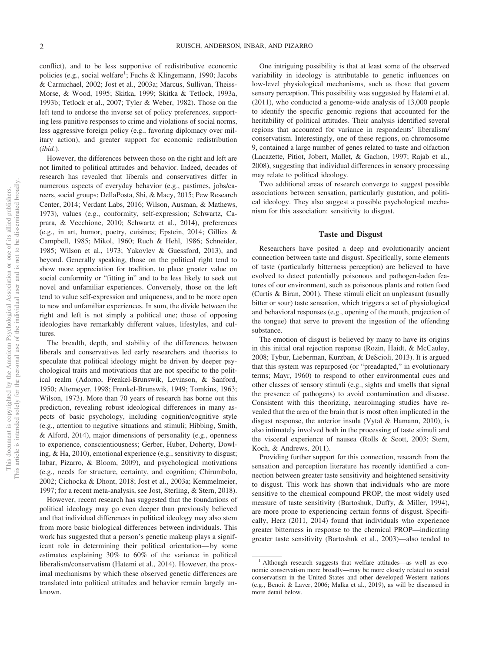conflict), and to be less supportive of redistributive economic policies (e.g., social welfare<sup>1</sup>; Fuchs & Klingemann, 1990; Jacobs & Carmichael, 2002; Jost et al., 2003a; Marcus, Sullivan, Theiss-Morse, & Wood, 1995; Skitka, 1999; Skitka & Tetlock, 1993a, 1993b; Tetlock et al., 2007; Tyler & Weber, 1982). Those on the left tend to endorse the inverse set of policy preferences, supporting less punitive responses to crime and violations of social norms, less aggressive foreign policy (e.g., favoring diplomacy over military action), and greater support for economic redistribution (*ibid.*).

However, the differences between those on the right and left are not limited to political attitudes and behavior. Indeed, decades of research has revealed that liberals and conservatives differ in numerous aspects of everyday behavior (e.g., pastimes, jobs/careers, social groups; DellaPosta, Shi, & Macy, 2015; Pew Research Center, 2014; Verdant Labs, 2016; Wilson, Ausman, & Mathews, 1973), values (e.g., conformity, self-expression; Schwartz, Caprara, & Vecchione, 2010; Schwartz et al., 2014), preferences (e.g., in art, humor, poetry, cuisines; Epstein, 2014; Gillies & Campbell, 1985; Mikol, 1960; Ruch & Hehl, 1986; Schneider, 1985; Wilson et al., 1973; Yakovlev & Guessford, 2013), and beyond. Generally speaking, those on the political right tend to show more appreciation for tradition, to place greater value on social conformity or "fitting in" and to be less likely to seek out novel and unfamiliar experiences. Conversely, those on the left tend to value self-expression and uniqueness, and to be more open to new and unfamiliar experiences. In sum, the divide between the right and left is not simply a political one; those of opposing ideologies have remarkably different values, lifestyles, and cultures.

The breadth, depth, and stability of the differences between liberals and conservatives led early researchers and theorists to speculate that political ideology might be driven by deeper psychological traits and motivations that are not specific to the political realm (Adorno, Frenkel-Brunswik, Levinson, & Sanford, 1950; Altemeyer, 1998; Frenkel-Brunswik, 1949; Tomkins, 1963; Wilson, 1973). More than 70 years of research has borne out this prediction, revealing robust ideological differences in many aspects of basic psychology, including cognition/cognitive style (e.g., attention to negative situations and stimuli; Hibbing, Smith, & Alford, 2014), major dimensions of personality (e.g., openness to experience, conscientiousness; Gerber, Huber, Doherty, Dowling, & Ha, 2010), emotional experience (e.g., sensitivity to disgust; Inbar, Pizarro, & Bloom, 2009), and psychological motivations (e.g., needs for structure, certainty, and cognition; Chirumbolo, 2002; Cichocka & Dhont, 2018; Jost et al., 2003a; Kemmelmeier, 1997; for a recent meta-analysis, see Jost, Sterling, & Stern, 2018).

However, recent research has suggested that the foundations of political ideology may go even deeper than previously believed and that individual differences in political ideology may also stem from more basic biological differences between individuals. This work has suggested that a person's genetic makeup plays a significant role in determining their political orientation— by some estimates explaining 30% to 60% of the variance in political liberalism/conservatism (Hatemi et al., 2014). However, the proximal mechanisms by which these observed genetic differences are translated into political attitudes and behavior remain largely unknown.

One intriguing possibility is that at least some of the observed variability in ideology is attributable to genetic influences on low-level physiological mechanisms, such as those that govern sensory perception. This possibility was suggested by Hatemi et al. (2011), who conducted a genome-wide analysis of 13,000 people to identify the specific genomic regions that accounted for the heritability of political attitudes. Their analysis identified several regions that accounted for variance in respondents' liberalism/ conservatism. Interestingly, one of these regions, on chromosome 9, contained a large number of genes related to taste and olfaction (Lacazette, Pitiot, Jobert, Mallet, & Gachon, 1997; Rajab et al., 2008), suggesting that individual differences in sensory processing may relate to political ideology.

Two additional areas of research converge to suggest possible associations between sensation, particularly gustation, and political ideology. They also suggest a possible psychological mechanism for this association: sensitivity to disgust.

#### **Taste and Disgust**

Researchers have posited a deep and evolutionarily ancient connection between taste and disgust. Specifically, some elements of taste (particularly bitterness perception) are believed to have evolved to detect potentially poisonous and pathogen-laden features of our environment, such as poisonous plants and rotten food (Curtis & Biran, 2001). These stimuli elicit an unpleasant (usually bitter or sour) taste sensation, which triggers a set of physiological and behavioral responses (e.g., opening of the mouth, projection of the tongue) that serve to prevent the ingestion of the offending substance.

The emotion of disgust is believed by many to have its origins in this initial oral rejection response (Rozin, Haidt, & McCauley, 2008; Tybur, Lieberman, Kurzban, & DeScioli, 2013). It is argued that this system was repurposed (or "preadapted," in evolutionary terms; Mayr, 1960) to respond to other environmental cues and other classes of sensory stimuli (e.g., sights and smells that signal the presence of pathogens) to avoid contamination and disease. Consistent with this theorizing, neuroimaging studies have revealed that the area of the brain that is most often implicated in the disgust response, the anterior insula (Vytal & Hamann, 2010), is also intimately involved both in the processing of taste stimuli and the visceral experience of nausea (Rolls & Scott, 2003; Stern, Koch, & Andrews, 2011).

Providing further support for this connection, research from the sensation and perception literature has recently identified a connection between greater taste sensitivity and heightened sensitivity to disgust. This work has shown that individuals who are more sensitive to the chemical compound PROP, the most widely used measure of taste sensitivity (Bartoshuk, Duffy, & Miller, 1994), are more prone to experiencing certain forms of disgust. Specifically, Herz (2011, 2014) found that individuals who experience greater bitterness in response to the chemical PROP—indicating greater taste sensitivity (Bartoshuk et al., 2003)—also tended to

<sup>&</sup>lt;sup>1</sup> Although research suggests that welfare attitudes—as well as economic conservatism more broadly—may be more closely related to social conservatism in the United States and other developed Western nations (e.g., Benoit & Laver, 2006; Malka et al., 2019), as will be discussed in more detail below.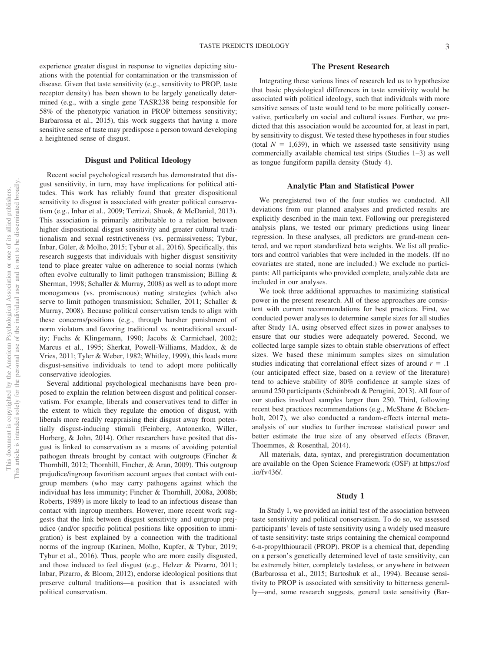experience greater disgust in response to vignettes depicting situations with the potential for contamination or the transmission of disease. Given that taste sensitivity (e.g., sensitivity to PROP, taste receptor density) has been shown to be largely genetically determined (e.g., with a single gene TASR238 being responsible for 58% of the phenotypic variation in PROP bitterness sensitivity; Barbarossa et al., 2015), this work suggests that having a more sensitive sense of taste may predispose a person toward developing a heightened sense of disgust.

#### **Disgust and Political Ideology**

Recent social psychological research has demonstrated that disgust sensitivity, in turn, may have implications for political attitudes. This work has reliably found that greater dispositional sensitivity to disgust is associated with greater political conservatism (e.g., Inbar et al., 2009; Terrizzi, Shook, & McDaniel, 2013). This association is primarily attributable to a relation between higher dispositional disgust sensitivity and greater cultural traditionalism and sexual restrictiveness (vs. permissiveness; Tybur, Inbar, Güler, & Molho, 2015; Tybur et al., 2016). Specifically, this research suggests that individuals with higher disgust sensitivity tend to place greater value on adherence to social norms (which often evolve culturally to limit pathogen transmission; Billing & Sherman, 1998; Schaller & Murray, 2008) as well as to adopt more monogamous (vs. promiscuous) mating strategies (which also serve to limit pathogen transmission; Schaller, 2011; Schaller & Murray, 2008). Because political conservatism tends to align with these concerns/positions (e.g., through harsher punishment of norm violators and favoring traditional vs. nontraditional sexuality; Fuchs & Klingemann, 1990; Jacobs & Carmichael, 2002; Marcus et al., 1995; Sherkat, Powell-Williams, Maddox, & de Vries, 2011; Tyler & Weber, 1982; Whitley, 1999), this leads more disgust-sensitive individuals to tend to adopt more politically conservative ideologies.

Several additional psychological mechanisms have been proposed to explain the relation between disgust and political conservatism. For example, liberals and conservatives tend to differ in the extent to which they regulate the emotion of disgust, with liberals more readily reappraising their disgust away from potentially disgust-inducing stimuli (Feinberg, Antonenko, Willer, Horberg, & John, 2014). Other researchers have posited that disgust is linked to conservatism as a means of avoiding potential pathogen threats brought by contact with outgroups (Fincher & Thornhill, 2012; Thornhill, Fincher, & Aran, 2009). This outgroup prejudice/ingroup favoritism account argues that contact with outgroup members (who may carry pathogens against which the individual has less immunity; Fincher & Thornhill, 2008a, 2008b; Roberts, 1989) is more likely to lead to an infectious disease than contact with ingroup members. However, more recent work suggests that the link between disgust sensitivity and outgroup prejudice (and/or specific political positions like opposition to immigration) is best explained by a connection with the traditional norms of the ingroup (Karinen, Molho, Kupfer, & Tybur, 2019; Tybur et al., 2016). Thus, people who are more easily disgusted, and those induced to feel disgust (e.g., Helzer & Pizarro, 2011; Inbar, Pizarro, & Bloom, 2012), endorse ideological positions that preserve cultural traditions—a position that is associated with political conservatism.

#### **The Present Research**

Integrating these various lines of research led us to hypothesize that basic physiological differences in taste sensitivity would be associated with political ideology, such that individuals with more sensitive senses of taste would tend to be more politically conservative, particularly on social and cultural issues. Further, we predicted that this association would be accounted for, at least in part, by sensitivity to disgust. We tested these hypotheses in four studies (total  $N = 1,639$ ), in which we assessed taste sensitivity using commercially available chemical test strips (Studies 1–3) as well as tongue fungiform papilla density (Study 4).

#### **Analytic Plan and Statistical Power**

We preregistered two of the four studies we conducted. All deviations from our planned analyses and predicted results are explicitly described in the main text. Following our preregistered analysis plans, we tested our primary predictions using linear regression. In these analyses, all predictors are grand-mean centered, and we report standardized beta weights. We list all predictors and control variables that were included in the models. (If no covariates are stated, none are included.) We exclude no participants: All participants who provided complete, analyzable data are included in our analyses.

We took three additional approaches to maximizing statistical power in the present research. All of these approaches are consistent with current recommendations for best practices. First, we conducted power analyses to determine sample sizes for all studies after Study 1A, using observed effect sizes in power analyses to ensure that our studies were adequately powered. Second, we collected large sample sizes to obtain stable observations of effect sizes. We based these minimum samples sizes on simulation studies indicating that correlational effect sizes of around  $r = .1$ (our anticipated effect size, based on a review of the literature) tend to achieve stability of 80% confidence at sample sizes of around 250 participants (Schönbrodt & Perugini, 2013). All four of our studies involved samples larger than 250. Third, following recent best practices recommendations (e.g., McShane & Böckenholt, 2017), we also conducted a random-effects internal metaanalysis of our studies to further increase statistical power and better estimate the true size of any observed effects (Braver, Thoemmes, & Rosenthal, 2014).

All materials, data, syntax, and preregistration documentation are available on the Open Science Framework (OSF) at [https://osf](https://osf.io/fv436/) [.io/fv436/.](https://osf.io/fv436/)

#### **Study 1**

In Study 1, we provided an initial test of the association between taste sensitivity and political conservatism. To do so, we assessed participants' levels of taste sensitivity using a widely used measure of taste sensitivity: taste strips containing the chemical compound 6-n-propylthiouracil (PROP). PROP is a chemical that, depending on a person's genetically determined level of taste sensitivity, can be extremely bitter, completely tasteless, or anywhere in between (Barbarossa et al., 2015; Bartoshuk et al., 1994). Because sensitivity to PROP is associated with sensitivity to bitterness generally—and, some research suggests, general taste sensitivity (Bar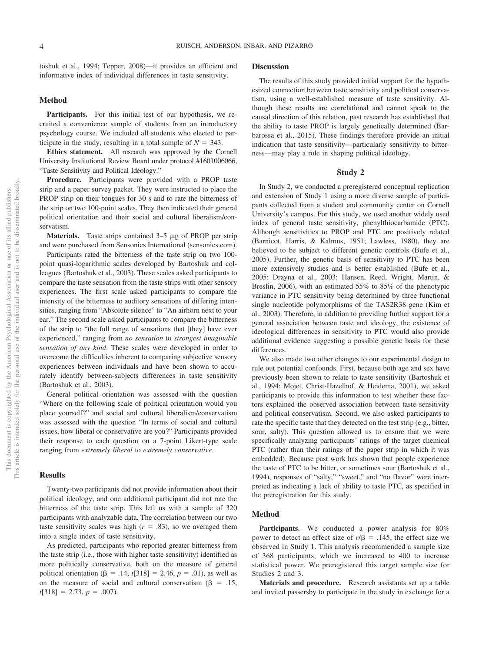toshuk et al., 1994; Tepper, 2008)—it provides an efficient and informative index of individual differences in taste sensitivity.

#### **Method**

Participants. For this initial test of our hypothesis, we recruited a convenience sample of students from an introductory psychology course. We included all students who elected to participate in the study, resulting in a total sample of  $N = 343$ .

**Ethics statement.** All research was approved by the Cornell University Institutional Review Board under protocol #1601006066, "Taste Sensitivity and Political Ideology."

**Procedure.** Participants were provided with a PROP taste strip and a paper survey packet. They were instructed to place the PROP strip on their tongues for 30 s and to rate the bitterness of the strip on two 100-point scales. They then indicated their general political orientation and their social and cultural liberalism/conservatism.

Materials. Taste strips contained 3-5 µg of PROP per strip and were purchased from Sensonics International (sensonics.com).

Participants rated the bitterness of the taste strip on two 100 point quasi-logarithmic scales developed by Bartoshuk and colleagues (Bartoshuk et al., 2003). These scales asked participants to compare the taste sensation from the taste strips with other sensory experiences. The first scale asked participants to compare the intensity of the bitterness to auditory sensations of differing intensities, ranging from "Absolute silence" to "An airhorn next to your ear." The second scale asked participants to compare the bitterness of the strip to "the full range of sensations that [they] have ever experienced," ranging from *no sensation* to *strongest imaginable sensation of any kind*. These scales were developed in order to overcome the difficulties inherent to comparing subjective sensory experiences between individuals and have been shown to accurately identify between-subjects differences in taste sensitivity (Bartoshuk et al., 2003).

General political orientation was assessed with the question "Where on the following scale of political orientation would you place yourself?" and social and cultural liberalism/conservatism was assessed with the question "In terms of social and cultural issues, how liberal or conservative are you?" Participants provided their response to each question on a 7-point Likert-type scale ranging from *extremely liberal* to *extremely conservative*.

#### **Results**

Twenty-two participants did not provide information about their political ideology, and one additional participant did not rate the bitterness of the taste strip. This left us with a sample of 320 participants with analyzable data. The correlation between our two taste sensitivity scales was high  $(r = .83)$ , so we averaged them into a single index of taste sensitivity.

As predicted, participants who reported greater bitterness from the taste strip (i.e., those with higher taste sensitivity) identified as more politically conservative, both on the measure of general political orientation ( $\beta = .14$ , *t*[318] = 2.46, *p* = .01), as well as on the measure of social and cultural conservatism ( $\beta = .15$ ,  $t[318] = 2.73, p = .007$ .

#### **Discussion**

The results of this study provided initial support for the hypothesized connection between taste sensitivity and political conservatism, using a well-established measure of taste sensitivity. Although these results are correlational and cannot speak to the causal direction of this relation, past research has established that the ability to taste PROP is largely genetically determined (Barbarossa et al., 2015). These findings therefore provide an initial indication that taste sensitivity—particularly sensitivity to bitterness—may play a role in shaping political ideology.

#### **Study 2**

In Study 2, we conducted a preregistered conceptual replication and extension of Study 1 using a more diverse sample of participants collected from a student and community center on Cornell University's campus. For this study, we used another widely used index of general taste sensitivity, phenylthiocarbamide (PTC). Although sensitivities to PROP and PTC are positively related (Barnicot, Harris, & Kalmus, 1951; Lawless, 1980), they are believed to be subject to different genetic controls (Bufe et al., 2005). Further, the genetic basis of sensitivity to PTC has been more extensively studies and is better established (Bufe et al., 2005; Drayna et al., 2003; Hansen, Reed, Wright, Martin, & Breslin, 2006), with an estimated 55% to 85% of the phenotypic variance in PTC sensitivity being determined by three functional single nucleotide polymorphisms of the TAS2R38 gene (Kim et al., 2003). Therefore, in addition to providing further support for a general association between taste and ideology, the existence of ideological differences in sensitivity to PTC would also provide additional evidence suggesting a possible genetic basis for these differences.

We also made two other changes to our experimental design to rule out potential confounds. First, because both age and sex have previously been shown to relate to taste sensitivity (Bartoshuk et al., 1994; Mojet, Christ-Hazelhof, & Heidema, 2001), we asked participants to provide this information to test whether these factors explained the observed association between taste sensitivity and political conservatism. Second, we also asked participants to rate the specific taste that they detected on the test strip (e.g., bitter, sour, salty). This question allowed us to ensure that we were specifically analyzing participants' ratings of the target chemical PTC (rather than their ratings of the paper strip in which it was embedded). Because past work has shown that people experience the taste of PTC to be bitter, or sometimes sour (Bartoshuk et al., 1994), responses of "salty," "sweet," and "no flavor" were interpreted as indicating a lack of ability to taste PTC, as specified in the preregistration for this study.

#### **Method**

**Participants.** We conducted a power analysis for 80% power to detect an effect size of  $r/\beta = .145$ , the effect size we observed in Study 1. This analysis recommended a sample size of 368 participants, which we increased to 400 to increase statistical power. We preregistered this target sample size for Studies 2 and 3.

**Materials and procedure.** Research assistants set up a table and invited passersby to participate in the study in exchange for a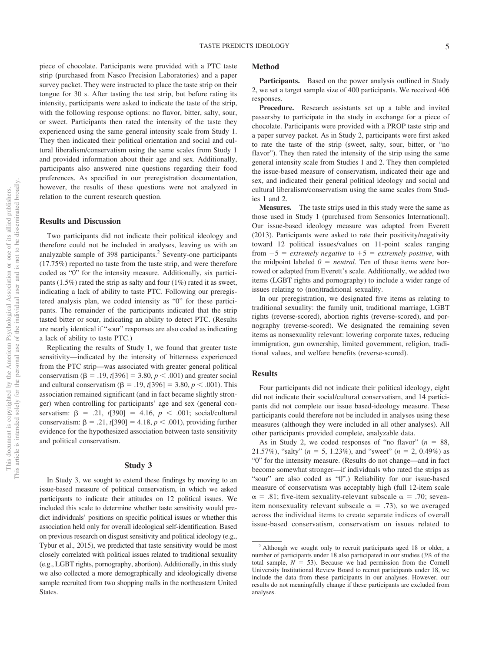piece of chocolate. Participants were provided with a PTC taste strip (purchased from Nasco Precision Laboratories) and a paper survey packet. They were instructed to place the taste strip on their tongue for 30 s. After tasting the test strip, but before rating its intensity, participants were asked to indicate the taste of the strip,

with the following response options: no flavor, bitter, salty, sour, or sweet. Participants then rated the intensity of the taste they experienced using the same general intensity scale from Study 1. They then indicated their political orientation and social and cultural liberalism/conservatism using the same scales from Study 1 and provided information about their age and sex. Additionally, participants also answered nine questions regarding their food preferences. As specified in our preregistration documentation, however, the results of these questions were not analyzed in relation to the current research question.

#### **Results and Discussion**

Two participants did not indicate their political ideology and therefore could not be included in analyses, leaving us with an analyzable sample of 398 participants.<sup>2</sup> Seventy-one participants (17.75%) reported no taste from the taste strip, and were therefore coded as "0" for the intensity measure. Additionally, six participants (1.5%) rated the strip as salty and four (1%) rated it as sweet, indicating a lack of ability to taste PTC. Following our preregistered analysis plan, we coded intensity as "0" for these participants. The remainder of the participants indicated that the strip tasted bitter or sour, indicating an ability to detect PTC. (Results are nearly identical if "sour" responses are also coded as indicating a lack of ability to taste PTC.)

Replicating the results of Study 1, we found that greater taste sensitivity—indicated by the intensity of bitterness experienced from the PTC strip—was associated with greater general political conservatism ( $\beta = .19$ , *t*[396] = 3.80, *p* < .001) and greater social and cultural conservatism  $(\beta = .19, t[396] = 3.80, p < .001)$ . This association remained significant (and in fact became slightly stronger) when controlling for participants' age and sex (general conservatism:  $\beta = .21, t[390] = 4.16, p < .001$ ; social/cultural conservatism:  $\beta = .21$ ,  $t[390] = 4.18$ ,  $p < .001$ ), providing further evidence for the hypothesized association between taste sensitivity and political conservatism.

#### **Study 3**

In Study 3, we sought to extend these findings by moving to an issue-based measure of political conservatism, in which we asked participants to indicate their attitudes on 12 political issues. We included this scale to determine whether taste sensitivity would predict individuals' positions on specific political issues or whether this association held only for overall ideological self-identification. Based on previous research on disgust sensitivity and political ideology (e.g., Tybur et al., 2015), we predicted that taste sensitivity would be most closely correlated with political issues related to traditional sexuality (e.g., LGBT rights, pornography, abortion). Additionally, in this study we also collected a more demographically and ideologically diverse sample recruited from two shopping malls in the northeastern United States.

#### **Method**

Participants. Based on the power analysis outlined in Study 2, we set a target sample size of 400 participants. We received 406 responses.

**Procedure.** Research assistants set up a table and invited passersby to participate in the study in exchange for a piece of chocolate. Participants were provided with a PROP taste strip and a paper survey packet. As in Study 2, participants were first asked to rate the taste of the strip (sweet, salty, sour, bitter, or "no flavor"). They then rated the intensity of the strip using the same general intensity scale from Studies 1 and 2. They then completed the issue-based measure of conservatism, indicated their age and sex, and indicated their general political ideology and social and cultural liberalism/conservatism using the same scales from Studies 1 and 2.

**Measures.** The taste strips used in this study were the same as those used in Study 1 (purchased from Sensonics International). Our issue-based ideology measure was adapted from Everett (2013). Participants were asked to rate their positivity/negativity toward 12 political issues/values on 11-point scales ranging from  $-5$  = *extremely negative* to  $+5$  = *extremely positive*, with the midpoint labeled  $0 = neutral$ . Ten of these items were borrowed or adapted from Everett's scale. Additionally, we added two items (LGBT rights and pornography) to include a wider range of issues relating to (non)traditional sexuality.

In our preregistration, we designated five items as relating to traditional sexuality: the family unit, traditional marriage, LGBT rights (reverse-scored), abortion rights (reverse-scored), and pornography (reverse-scored). We designated the remaining seven items as nonsexuality relevant: lowering corporate taxes, reducing immigration, gun ownership, limited government, religion, traditional values, and welfare benefits (reverse-scored).

#### **Results**

Four participants did not indicate their political ideology, eight did not indicate their social/cultural conservatism, and 14 participants did not complete our issue based-ideology measure. These participants could therefore not be included in analyses using these measures (although they were included in all other analyses). All other participants provided complete, analyzable data.

As in Study 2, we coded responses of "no flavor"  $(n = 88,$ 21.57%), "salty" ( $n = 5$ , 1.23%), and "sweet" ( $n = 2$ , 0.49%) as "0" for the intensity measure. (Results do not change—and in fact become somewhat stronger—if individuals who rated the strips as "sour" are also coded as "0".) Reliability for our issue-based measure of conservatism was acceptably high (full 12-item scale  $\alpha = .81$ ; five-item sexuality-relevant subscale  $\alpha = .70$ ; sevenitem nonsexuality relevant subscale  $\alpha = .73$ ), so we averaged across the individual items to create separate indices of overall issue-based conservatism, conservatism on issues related to

<sup>2</sup> Although we sought only to recruit participants aged 18 or older, a number of participants under 18 also participated in our studies (3% of the total sample,  $N = 53$ ). Because we had permission from the Cornell University Institutional Review Board to recruit participants under 18, we include the data from these participants in our analyses. However, our results do not meaningfully change if these participants are excluded from analyses.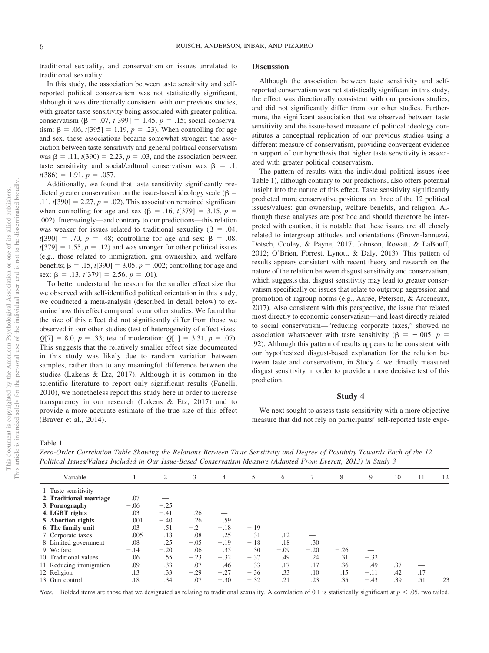traditional sexuality, and conservatism on issues unrelated to traditional sexuality.

In this study, the association between taste sensitivity and selfreported political conservatism was not statistically significant, although it was directionally consistent with our previous studies, with greater taste sensitivity being associated with greater political conservatism  $(\beta = .07, t[399] = 1.45, p = .15$ ; social conservatism:  $\beta = .06$ ,  $t[395] = 1.19$ ,  $p = .23$ ). When controlling for age and sex, these associations became somewhat stronger: the association between taste sensitivity and general political conservatism was  $\beta = .11$ ,  $t(390) = 2.23$ ,  $p = .03$ , and the association between taste sensitivity and social/cultural conservatism was  $\beta = 0.1$ ,  $t(386) = 1.91, p = .057.$ 

Additionally, we found that taste sensitivity significantly predicted greater conservatism on the issue-based ideology scale ( $\beta$  =  $.11, t[390] = 2.27, p = .02$ . This association remained significant when controlling for age and sex ( $\beta$  = .16, *t*[379] = 3.15, *p* = .002). Interestingly—and contrary to our predictions—this relation was weaker for issues related to traditional sexuality ( $\beta = .04$ ,  $t[390] = .70, p = .48$ ; controlling for age and sex:  $\beta = .08$ ,  $t[379] = 1.55$ ,  $p = .12$ ) and was stronger for other political issues (e.g., those related to immigration, gun ownership, and welfare benefits;  $β = .15, t[390] = 3.05, p = .002$ ; controlling for age and sex:  $\beta = .13, t[379] = 2.56, p = .01$ ).

To better understand the reason for the smaller effect size that we observed with self-identified political orientation in this study, we conducted a meta-analysis (described in detail below) to examine how this effect compared to our other studies. We found that the size of this effect did not significantly differ from those we observed in our other studies (test of heterogeneity of effect sizes:  $Q[7] = 8.0, p = .33$ ; test of moderation:  $Q[1] = 3.31, p = .07$ ). This suggests that the relatively smaller effect size documented in this study was likely due to random variation between samples, rather than to any meaningful difference between the studies (Lakens & Etz, 2017). Although it is common in the scientific literature to report only significant results (Fanelli, 2010), we nonetheless report this study here in order to increase transparency in our research (Lakens & Etz, 2017) and to provide a more accurate estimate of the true size of this effect (Braver et al., 2014).

#### **Discussion**

Although the association between taste sensitivity and selfreported conservatism was not statistically significant in this study, the effect was directionally consistent with our previous studies, and did not significantly differ from our other studies. Furthermore, the significant association that we observed between taste sensitivity and the issue-based measure of political ideology constitutes a conceptual replication of our previous studies using a different measure of conservatism, providing convergent evidence in support of our hypothesis that higher taste sensitivity is associated with greater political conservatism.

The pattern of results with the individual political issues (see Table 1), although contrary to our predictions, also offers potential insight into the nature of this effect. Taste sensitivity significantly predicted more conservative positions on three of the 12 political issues/values: gun ownership, welfare benefits, and religion. Although these analyses are post hoc and should therefore be interpreted with caution, it is notable that these issues are all closely related to intergroup attitudes and orientations (Brown-Iannuzzi, Dotsch, Cooley, & Payne, 2017; Johnson, Rowatt, & LaBouff, 2012; O'Brien, Forrest, Lynott, & Daly, 2013). This pattern of results appears consistent with recent theory and research on the nature of the relation between disgust sensitivity and conservatism, which suggests that disgust sensitivity may lead to greater conservatism specifically on issues that relate to outgroup aggression and promotion of ingroup norms (e.g., Aarøe, Petersen, & Arceneaux, 2017). Also consistent with this perspective, the issue that related most directly to economic conservatism—and least directly related to social conservatism—"reducing corporate taxes," showed no association whatsoever with taste sensitivity ( $\beta = -.005, p =$ .92). Although this pattern of results appears to be consistent with our hypothesized disgust-based explanation for the relation between taste and conservatism, in Study 4 we directly measured disgust sensitivity in order to provide a more decisive test of this prediction.

#### **Study 4**

We next sought to assess taste sensitivity with a more objective measure that did not rely on participants' self-reported taste expe-

Table 1

*Zero-Order Correlation Table Showing the Relations Between Taste Sensitivity and Degree of Positivity Towards Each of the 12 Political Issues/Values Included in Our Issue-Based Conservatism Measure (Adapted From Everett, 2013) in Study 3*

| Variable                 |         | 2      | 3      | 4      | 5      | 6      |        | 8      | 9      | 10  | 11  | 12  |
|--------------------------|---------|--------|--------|--------|--------|--------|--------|--------|--------|-----|-----|-----|
| 1. Taste sensitivity     |         |        |        |        |        |        |        |        |        |     |     |     |
| 2. Traditional marriage  | .07     |        |        |        |        |        |        |        |        |     |     |     |
| 3. Pornography           | $-.06$  | $-.25$ |        |        |        |        |        |        |        |     |     |     |
| 4. LGBT rights           | .03     | $-.41$ | .26    |        |        |        |        |        |        |     |     |     |
| 5. Abortion rights       | .001    | $-.40$ | .26    | .59    |        |        |        |        |        |     |     |     |
| 6. The family unit       | .03     | .51    | $-.2$  | $-.18$ | $-.19$ |        |        |        |        |     |     |     |
| 7. Corporate taxes       | $-.005$ | .18    | $-.08$ | $-.25$ | $-.31$ | .12    |        |        |        |     |     |     |
| 8. Limited government    | .08     | .25    | $-.05$ | $-.19$ | $-.18$ | .18    | .30    |        |        |     |     |     |
| 9. Welfare               | $-.14$  | $-.20$ | .06    | .35    | .30    | $-.09$ | $-.20$ | $-.26$ |        |     |     |     |
| 10. Traditional values   | .06     | .55    | $-.23$ | $-.32$ | $-.37$ | .49    | .24    | .31    | $-.32$ |     |     |     |
| 11. Reducing immigration | .09     | .33    | $-.07$ | $-.46$ | $-.33$ | .17    | .17    | .36    | $-.49$ | .37 |     |     |
| 12. Religion             | .13     | .33    | $-.29$ | $-.27$ | $-.36$ | .33    | .10    | .15    | $-.11$ | .42 | .17 |     |
| 13. Gun control          | .18     | .34    | .07    | $-.30$ | $-.32$ | .21    | .23    | .35    | $-.43$ | .39 | .51 | .23 |
|                          |         |        |        |        |        |        |        |        |        |     |     |     |

*Note.* Bolded items are those that we designated as relating to traditional sexuality. A correlation of 0.1 is statistically significant at  $p < .05$ , two tailed.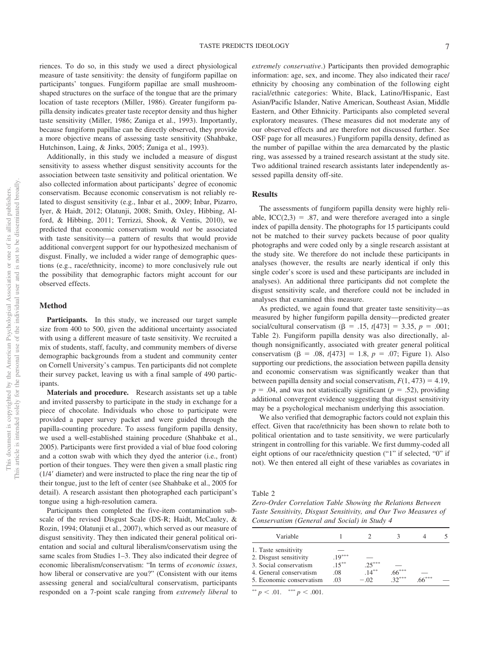riences. To do so, in this study we used a direct physiological measure of taste sensitivity: the density of fungiform papillae on participants' tongues. Fungiform papillae are small mushroomshaped structures on the surface of the tongue that are the primary location of taste receptors (Miller, 1986). Greater fungiform papilla density indicates greater taste receptor density and thus higher taste sensitivity (Miller, 1986; Zuniga et al., 1993). Importantly, because fungiform papillae can be directly observed, they provide a more objective means of assessing taste sensitivity (Shahbake, Hutchinson, Laing, & Jinks, 2005; Zuniga et al., 1993).

Additionally, in this study we included a measure of disgust sensitivity to assess whether disgust sensitivity accounts for the association between taste sensitivity and political orientation. We also collected information about participants' degree of economic conservatism. Because economic conservatism is not reliably related to disgust sensitivity (e.g., Inbar et al., 2009; Inbar, Pizarro, Iyer, & Haidt, 2012; Olatunji, 2008; Smith, Oxley, Hibbing, Alford, & Hibbing, 2011; Terrizzi, Shook, & Ventis, 2010), we predicted that economic conservatism would *not* be associated with taste sensitivity—a pattern of results that would provide additional convergent support for our hypothesized mechanism of disgust. Finally, we included a wider range of demographic questions (e.g., race/ethnicity, income) to more conclusively rule out the possibility that demographic factors might account for our observed effects.

#### **Method**

Participants. In this study, we increased our target sample size from 400 to 500, given the additional uncertainty associated with using a different measure of taste sensitivity. We recruited a mix of students, staff, faculty, and community members of diverse demographic backgrounds from a student and community center on Cornell University's campus. Ten participants did not complete their survey packet, leaving us with a final sample of 490 participants.

**Materials and procedure.** Research assistants set up a table and invited passersby to participate in the study in exchange for a piece of chocolate. Individuals who chose to participate were provided a paper survey packet and were guided through the papilla-counting procedure. To assess fungiform papilla density, we used a well-established staining procedure (Shahbake et al., 2005). Participants were first provided a vial of blue food coloring and a cotton swab with which they dyed the anterior (i.e., front) portion of their tongues. They were then given a small plastic ring  $(1/4<sup>7</sup>$  diameter) and were instructed to place the ring near the tip of their tongue, just to the left of center (see Shahbake et al., 2005 for detail). A research assistant then photographed each participant's tongue using a high-resolution camera.

Participants then completed the five-item contamination subscale of the revised Disgust Scale (DS-R; Haidt, McCauley, & Rozin, 1994; Olatunji et al., 2007), which served as our measure of disgust sensitivity. They then indicated their general political orientation and social and cultural liberalism/conservatism using the same scales from Studies 1–3. They also indicated their degree of economic liberalism/conservatism: "In terms of *economic issues*, how liberal or conservative are you?" (Consistent with our items assessing general and social/cultural conservatism, participants responded on a 7-point scale ranging from *extremely liberal* to *extremely conservative*.) Participants then provided demographic information: age, sex, and income. They also indicated their race/ ethnicity by choosing any combination of the following eight racial/ethnic categories: White, Black, Latino/Hispanic, East Asian/Pacific Islander, Native American, Southeast Asian, Middle Eastern, and Other Ethnicity. Participants also completed several exploratory measures. (These measures did not moderate any of our observed effects and are therefore not discussed further. See OSF page for all measures.) Fungiform papilla density, defined as the number of papillae within the area demarcated by the plastic ring, was assessed by a trained research assistant at the study site. Two additional trained research assistants later independently assessed papilla density off-site.

#### **Results**

The assessments of fungiform papilla density were highly reliable,  $ICC(2,3) = .87$ , and were therefore averaged into a single index of papilla density. The photographs for 15 participants could not be matched to their survey packets because of poor quality photographs and were coded only by a single research assistant at the study site. We therefore do not include these participants in analyses (however, the results are nearly identical if only this single coder's score is used and these participants are included in analyses). An additional three participants did not complete the disgust sensitivity scale, and therefore could not be included in analyses that examined this measure.

As predicted, we again found that greater taste sensitivity—as measured by higher fungiform papilla density—predicted greater social/cultural conservatism ( $\beta = .15$ ,  $t[473] = 3.35$ ,  $p = .001$ ; [Table 2\)](#page-7-0). Fungiform papilla density was also directionally, although nonsignificantly, associated with greater general political conservatism  $(\beta = .08, t[473] = 1.8, p = .07;$  Figure 1). Also supporting our predictions, the association between papilla density and economic conservatism was significantly weaker than that between papilla density and social conservatism,  $F(1, 473) = 4.19$ ,  $p = .04$ , and was not statistically significant ( $p = .52$ ), providing additional convergent evidence suggesting that disgust sensitivity may be a psychological mechanism underlying this association.

We also verified that demographic factors could not explain this effect. Given that race/ethnicity has been shown to relate both to political orientation and to taste sensitivity, we were particularly stringent in controlling for this variable. We first dummy-coded all eight options of our race/ethnicity question ("1" if selected, "0" if not). We then entered all eight of these variables as covariates in

<span id="page-7-0"></span>Table 2

*Zero-Order Correlation Table Showing the Relations Between Taste Sensitivity, Disgust Sensitivity, and Our Two Measures of Conservatism (General and Social) in Study 4*

| Variable                 |          |          |          |      |  |
|--------------------------|----------|----------|----------|------|--|
| 1. Taste sensitivity     |          |          |          |      |  |
| 2. Disgust sensitivity   | $.19***$ |          |          |      |  |
| 3. Social conservatism   | $.15***$ | $-25***$ |          |      |  |
| 4. General conservatism  | .08      | $14***$  | $.06***$ |      |  |
| 5. Economic conservatism | .03      | $-.02$   | $32***$  | 一本本本 |  |

\*\*  $p < .01.$  \*\*\*  $p < .001.$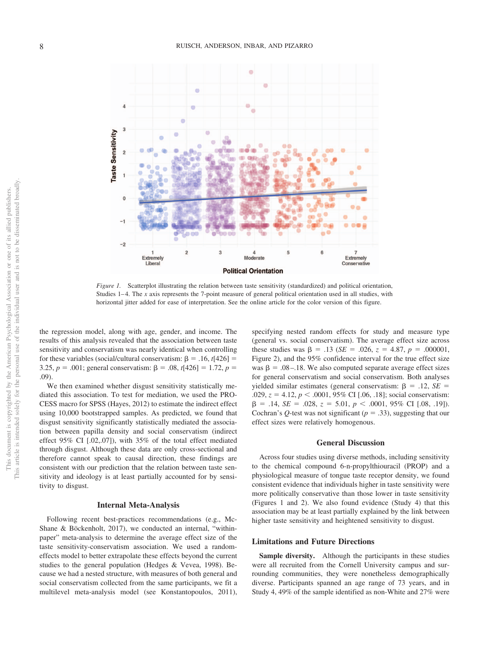

*Figure 1.* Scatterplot illustrating the relation between taste sensitivity (standardized) and political orientation, Studies 1–4. The *x* axis represents the 7-point measure of general political orientation used in all studies, with horizontal jitter added for ease of interpretation. See the online article for the color version of this figure.

the regression model, along with age, gender, and income. The results of this analysis revealed that the association between taste sensitivity and conservatism was nearly identical when controlling for these variables (social/cultural conservatism:  $\beta = .16$ ,  $t[426] =$ 3.25,  $p = .001$ ; general conservatism:  $\beta = .08$ ,  $t[426] = 1.72$ ,  $p =$ .09).

We then examined whether disgust sensitivity statistically mediated this association. To test for mediation, we used the PRO-CESS macro for SPSS (Hayes, 2012) to estimate the indirect effect using 10,000 bootstrapped samples. As predicted, we found that disgust sensitivity significantly statistically mediated the association between papilla density and social conservatism (indirect effect 95% CI [.02,.07]), with 35% of the total effect mediated through disgust. Although these data are only cross-sectional and therefore cannot speak to causal direction, these findings are consistent with our prediction that the relation between taste sensitivity and ideology is at least partially accounted for by sensitivity to disgust.

#### **Internal Meta-Analysis**

Following recent best-practices recommendations (e.g., Mc-Shane & Böckenholt, 2017), we conducted an internal, "withinpaper" meta-analysis to determine the average effect size of the taste sensitivity-conservatism association. We used a randomeffects model to better extrapolate these effects beyond the current studies to the general population (Hedges & Vevea, 1998). Because we had a nested structure, with measures of both general and social conservatism collected from the same participants, we fit a multilevel meta-analysis model (see Konstantopoulos, 2011), specifying nested random effects for study and measure type (general vs. social conservatism). The average effect size across these studies was  $\beta = .13$  (*SE* = .026,  $z = 4.87$ ,  $p = .000001$ , Figure 2), and the 95% confidence interval for the true effect size was  $\beta = 0.08 - 0.18$ . We also computed separate average effect sizes for general conservatism and social conservatism. Both analyses yielded similar estimates (general conservatism:  $\beta = .12$ ,  $SE =$ .029, *z* = 4.12, *p* < .0001, 95% CI [.06, .18]; social conservatism:  $\beta = .14$ ,  $SE = .028$ ,  $z = 5.01$ ,  $p < .0001$ ,  $95\%$  CI [.08, .19]). Cochran's  $Q$ -test was not significant ( $p = .33$ ), suggesting that our effect sizes were relatively homogenous.

#### **General Discussion**

Across four studies using diverse methods, including sensitivity to the chemical compound 6-n-propylthiouracil (PROP) and a physiological measure of tongue taste receptor density, we found consistent evidence that individuals higher in taste sensitivity were more politically conservative than those lower in taste sensitivity (Figures 1 and 2). We also found evidence (Study 4) that this association may be at least partially explained by the link between higher taste sensitivity and heightened sensitivity to disgust.

#### **Limitations and Future Directions**

**Sample diversity.** Although the participants in these studies were all recruited from the Cornell University campus and surrounding communities, they were nonetheless demographically diverse. Participants spanned an age range of 73 years, and in Study 4, 49% of the sample identified as non-White and 27% were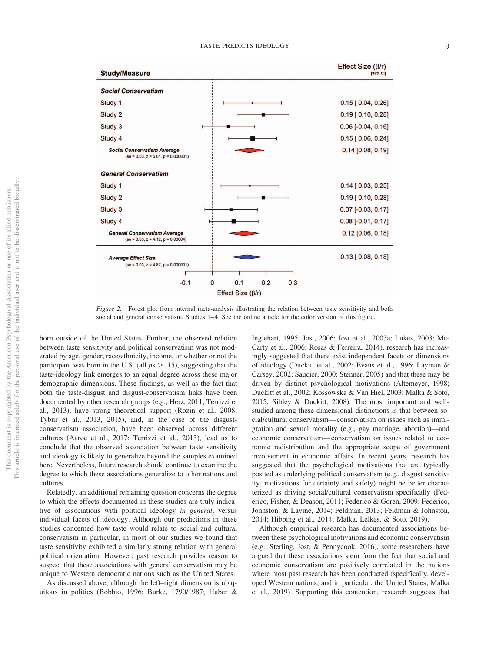#### TASTE PREDICTS IDEOLOGY 9



*Figure 2.* Forest plot from internal meta-analysis illustrating the relation between taste sensitivity and both social and general conservatism, Studies 1–4. See the online article for the color version of this figure.

born outside of the United States. Further, the observed relation between taste sensitivity and political conservatism was not moderated by age, gender, race/ethnicity, income, or whether or not the participant was born in the U.S. (all  $ps > .15$ ), suggesting that the taste-ideology link emerges to an equal degree across these major demographic dimensions. These findings, as well as the fact that both the taste-disgust and disgust-conservatism links have been documented by other research groups (e.g., Herz, 2011; Terrizzi et al., 2013), have strong theoretical support (Rozin et al., 2008; Tybur et al., 2013, 2015), and, in the case of the disgustconservatism association, have been observed across different cultures (Aarøe et al., 2017; Terrizzi et al., 2013), lead us to conclude that the observed association between taste sensitivity and ideology is likely to generalize beyond the samples examined here. Nevertheless, future research should continue to examine the degree to which these associations generalize to other nations and cultures.

Relatedly, an additional remaining question concerns the degree to which the effects documented in these studies are truly indicative of associations with political ideology *in general*, versus individual facets of ideology. Although our predictions in these studies concerned how taste would relate to social and cultural conservatism in particular, in most of our studies we found that taste sensitivity exhibited a similarly strong relation with general political orientation. However, past research provides reason to suspect that these associations with general conservatism may be unique to Western democratic nations such as the United States.

As discussed above, although the left–right dimension is ubiquitous in politics (Bobbio, 1996; Burke, 1790/1987; Huber & Inglehart, 1995; Jost, 2006; Jost et al., 2003a; Lukes, 2003; Mc-Carty et al., 2006; Rosas & Ferreira, 2014), research has increasingly suggested that there exist independent facets or dimensions of ideology (Duckitt et al., 2002; Evans et al., 1996; Layman & Carsey, 2002; Saucier, 2000; Stenner, 2005) and that these may be driven by distinct psychological motivations (Altemeyer, 1998; Duckitt et al., 2002; [Kossowska & Van Hiel, 2003;](#page-14-0) Malka & Soto, 2015; Sibley & Duckitt, 2008). The most important and wellstudied among these dimensional distinctions is that between social/cultural conservatism— conservatism on issues such as immigration and sexual morality (e.g., gay marriage, abortion)—and economic conservatism— conservatism on issues related to economic redistribution and the appropriate scope of government involvement in economic affairs. In recent years, research has suggested that the psychological motivations that are typically posited as underlying political conservatism (e.g., disgust sensitivity, motivations for certainty and safety) might be better characterized as driving social/cultural conservatism specifically (Federico, Fisher, & Deason, 2011; Federico & Goren, 2009; Federico, Johnston, & Lavine, 2014; Feldman, 2013; Feldman & Johnston, 2014; Hibbing et al., 2014; Malka, Lelkes, & Soto, 2019).

Although empirical research has documented associations between these psychological motivations and economic conservatism (e.g., Sterling, Jost, & Pennycook, 2016), some researchers have argued that these associations stem from the fact that social and economic conservatism are positively correlated in the nations where most past research has been conducted (specifically, developed Western nations, and in particular, the United States; Malka et al., 2019). Supporting this contention, research suggests that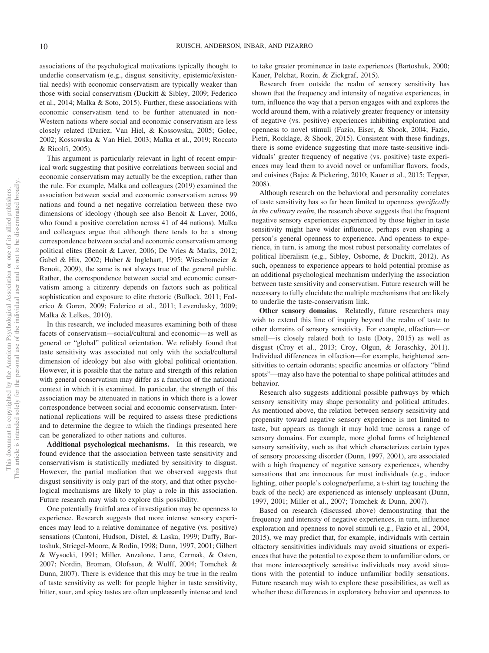associations of the psychological motivations typically thought to underlie conservatism (e.g., disgust sensitivity, epistemic/existential needs) with economic conservatism are typically weaker than those with social conservatism (Duckitt & Sibley, 2009; Federico et al., 2014; Malka & Soto, 2015). Further, these associations with economic conservatism tend to be further attenuated in non-Western nations where social and economic conservatism are less closely related (Duriez, Van Hiel, & Kossowska, 2005; Golec, 2002; [Kossowska & Van Hiel, 2003;](#page-14-0) Malka et al., 2019; Roccato & Ricolfi, 2005).

This argument is particularly relevant in light of recent empirical work suggesting that positive correlations between social and economic conservatism may actually be the exception, rather than the rule. For example, Malka and colleagues (2019) examined the association between social and economic conservatism across 99 nations and found a net negative correlation between these two dimensions of ideology (though see also Benoit & Laver, 2006, who found a positive correlation across 41 of 44 nations). Malka and colleagues argue that although there tends to be a strong correspondence between social and economic conservatism among political elites (Benoit & Laver, 2006; De Vries & Marks, 2012; Gabel & Hix, 2002; Huber & Inglehart, 1995; Wiesehomeier & Benoit, 2009), the same is not always true of the general public. Rather, the correspondence between social and economic conservatism among a citizenry depends on factors such as political sophistication and exposure to elite rhetoric (Bullock, 2011; Federico & Goren, 2009; Federico et al., 2011; Levendusky, 2009; Malka & Lelkes, 2010).

In this research, we included measures examining both of these facets of conservatism—social/cultural and economic—as well as general or "global" political orientation. We reliably found that taste sensitivity was associated not only with the social/cultural dimension of ideology but also with global political orientation. However, it is possible that the nature and strength of this relation with general conservatism may differ as a function of the national context in which it is examined. In particular, the strength of this association may be attenuated in nations in which there is a lower correspondence between social and economic conservatism. International replications will be required to assess these predictions and to determine the degree to which the findings presented here can be generalized to other nations and cultures.

**Additional psychological mechanisms.** In this research, we found evidence that the association between taste sensitivity and conservativism is statistically mediated by sensitivity to disgust. However, the partial mediation that we observed suggests that disgust sensitivity is only part of the story, and that other psychological mechanisms are likely to play a role in this association. Future research may wish to explore this possibility.

One potentially fruitful area of investigation may be openness to experience. Research suggests that more intense sensory experiences may lead to a relative dominance of negative (vs. positive) sensations (Cantoni, Hudson, Distel, & Laska, 1999; Duffy, Bartoshuk, Striegel-Moore, & Rodin, 1998; Dunn, 1997, 2001; Gilbert & Wysocki, 1991; Miller, Anzalone, Lane, Cermak, & Osten, 2007; Nordin, Broman, Olofsson, & Wulff, 2004; Tomchek & Dunn, 2007). There is evidence that this may be true in the realm of taste sensitivity as well: for people higher in taste sensitivity, bitter, sour, and spicy tastes are often unpleasantly intense and tend to take greater prominence in taste experiences (Bartoshuk, 2000; Kauer, Pelchat, Rozin, & Zickgraf, 2015).

Research from outside the realm of sensory sensitivity has shown that the frequency and intensity of negative experiences, in turn, influence the way that a person engages with and explores the world around them, with a relatively greater frequency or intensity of negative (vs. positive) experiences inhibiting exploration and openness to novel stimuli (Fazio, Eiser, & Shook, 2004; Fazio, Pietri, Rocklage, & Shook, 2015). Consistent with these findings, there is some evidence suggesting that more taste-sensitive individuals' greater frequency of negative (vs. positive) taste experiences may lead them to avoid novel or unfamiliar flavors, foods, and cuisines (Bajec & Pickering, 2010; Kauer et al., 2015; Tepper, 2008).

Although research on the behavioral and personality correlates of taste sensitivity has so far been limited to openness *specifically in the culinary realm*, the research above suggests that the frequent negative sensory experiences experienced by those higher in taste sensitivity might have wider influence, perhaps even shaping a person's general openness to experience. And openness to experience, in turn, is among the most robust personality correlates of political liberalism (e.g., Sibley, Osborne, & Duckitt, 2012). As such, openness to experience appears to hold potential promise as an additional psychological mechanism underlying the association between taste sensitivity and conservatism. Future research will be necessary to fully elucidate the multiple mechanisms that are likely to underlie the taste-conservatism link.

**Other sensory domains.** Relatedly, future researchers may wish to extend this line of inquiry beyond the realm of taste to other domains of sensory sensitivity. For example, olfaction— or smell—is closely related both to taste (Doty, 2015) as well as disgust (Croy et al., 2013; Croy, Olgun, & Joraschky, 2011). Individual differences in olfaction—for example, heightened sensitivities to certain odorants; specific anosmias or olfactory "blind spots"—may also have the potential to shape political attitudes and behavior.

Research also suggests additional possible pathways by which sensory sensitivity may shape personality and political attitudes. As mentioned above, the relation between sensory sensitivity and propensity toward negative sensory experience is not limited to taste, but appears as though it may hold true across a range of sensory domains. For example, more global forms of heightened sensory sensitivity, such as that which characterizes certain types of sensory processing disorder (Dunn, 1997, 2001), are associated with a high frequency of negative sensory experiences, whereby sensations that are innocuous for most individuals (e.g., indoor lighting, other people's cologne/perfume, a t-shirt tag touching the back of the neck) are experienced as intensely unpleasant (Dunn, 1997, 2001; Miller et al., 2007; Tomchek & Dunn, 2007).

Based on research (discussed above) demonstrating that the frequency and intensity of negative experiences, in turn, influence exploration and openness to novel stimuli (e.g., Fazio et al., 2004, 2015), we may predict that, for example, individuals with certain olfactory sensitivities individuals may avoid situations or experiences that have the potential to expose them to unfamiliar odors, or that more interoceptively sensitive individuals may avoid situations with the potential to induce unfamiliar bodily sensations. Future research may wish to explore these possibilities, as well as whether these differences in exploratory behavior and openness to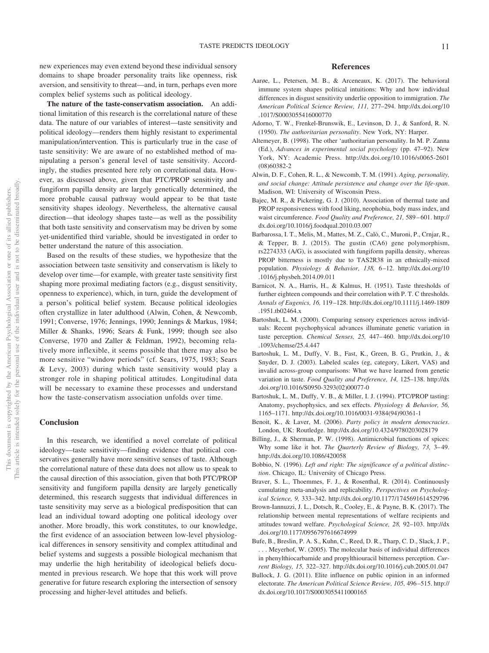new experiences may even extend beyond these individual sensory domains to shape broader personality traits like openness, risk aversion, and sensitivity to threat—and, in turn, perhaps even more complex belief systems such as political ideology.

**The nature of the taste-conservatism association.** An additional limitation of this research is the correlational nature of these data. The nature of our variables of interest—taste sensitivity and political ideology—renders them highly resistant to experimental manipulation/intervention. This is particularly true in the case of taste sensitivity: We are aware of no established method of manipulating a person's general level of taste sensitivity. Accordingly, the studies presented here rely on correlational data. However, as discussed above, given that PTC/PROP sensitivity and fungiform papilla density are largely genetically determined, the more probable causal pathway would appear to be that taste sensitivity shapes ideology. Nevertheless, the alternative causal direction—that ideology shapes taste—as well as the possibility that both taste sensitivity and conservatism may be driven by some yet-unidentified third variable, should be investigated in order to better understand the nature of this association.

Based on the results of these studies, we hypothesize that the association between taste sensitivity and conservatism is likely to develop over time—for example, with greater taste sensitivity first shaping more proximal mediating factors (e.g., disgust sensitivity, openness to experience), which, in turn, guide the development of a person's political belief system. Because political ideologies often crystallize in later adulthood (Alwin, Cohen, & Newcomb, 1991; Converse, 1976; Jennings, 1990; Jennings & Markus, 1984; Miller & Shanks, 1996; Sears & Funk, 1999; though see also Converse, 1970 and Zaller & Feldman, 1992), becoming relatively more inflexible, it seems possible that there may also be more sensitive "window periods" (cf. Sears, 1975, 1983; Sears & Levy, 2003) during which taste sensitivity would play a stronger role in shaping political attitudes. Longitudinal data will be necessary to examine these processes and understand how the taste-conservatism association unfolds over time.

#### **Conclusion**

In this research, we identified a novel correlate of political ideology—taste sensitivity—finding evidence that political conservatives generally have more sensitive senses of taste. Although the correlational nature of these data does not allow us to speak to the causal direction of this association, given that both PTC/PROP sensitivity and fungiform papilla density are largely genetically determined, this research suggests that individual differences in taste sensitivity may serve as a biological predisposition that can lead an individual toward adopting one political ideology over another. More broadly, this work constitutes, to our knowledge, the first evidence of an association between low-level physiological differences in sensory sensitivity and complex attitudinal and belief systems and suggests a possible biological mechanism that may underlie the high heritability of ideological beliefs documented in previous research. We hope that this work will prove generative for future research exploring the intersection of sensory processing and higher-level attitudes and beliefs.

#### **References**

- Aarøe, L., Petersen, M. B., & Arceneaux, K. (2017). The behavioral immune system shapes political intuitions: Why and how individual differences in disgust sensitivity underlie opposition to immigration. *The American Political Science Review, 111,* 277–294. [http://dx.doi.org/10](http://dx.doi.org/10.1017/S0003055416000770) [.1017/S0003055416000770](http://dx.doi.org/10.1017/S0003055416000770)
- Adorno, T. W., Frenkel-Brunswik, E., Levinson, D. J., & Sanford, R. N. (1950). *The authoritarian personality*. New York, NY: Harper.
- Altemeyer, B. (1998). The other 'authoritarian personality. In M. P. Zanna (Ed.), *Advances in experimental social psychology* (pp. 47–92). New York, NY: Academic Press. [http://dx.doi.org/10.1016/s0065-2601](http://dx.doi.org/10.1016/s0065-2601%2808%2960382-2) [\(08\)60382-2](http://dx.doi.org/10.1016/s0065-2601%2808%2960382-2)
- Alwin, D. F., Cohen, R. L., & Newcomb, T. M. (1991). *Aging, personality, and social change: Attitude persistence and change over the life-span*. Madison, WI: University of Wisconsin Press.
- Bajec, M. R., & Pickering, G. J. (2010). Association of thermal taste and PROP responsiveness with food liking, neophobia, body mass index, and waist circumference. *Food Quality and Preference*, 21, 589-601. [http://](http://dx.doi.org/10.1016/j.foodqual.2010.03.007) [dx.doi.org/10.1016/j.foodqual.2010.03.007](http://dx.doi.org/10.1016/j.foodqual.2010.03.007)
- Barbarossa, I. T., Melis, M., Mattes, M. Z., Calò, C., Muroni, P., Crnjar, R., & Tepper, B. J. (2015). The gustin (CA6) gene polymorphism, rs2274333 (A/G), is associated with fungiform papilla density, whereas PROP bitterness is mostly due to TAS2R38 in an ethnically-mixed population. *Physiology & Behavior, 138,* 6 –12. [http://dx.doi.org/10](http://dx.doi.org/10.1016/j.physbeh.2014.09.011) [.1016/j.physbeh.2014.09.011](http://dx.doi.org/10.1016/j.physbeh.2014.09.011)
- Barnicot, N. A., Harris, H., & Kalmus, H. (1951). Taste thresholds of further eighteen compounds and their correlation with P. T. C thresholds. *Annals of Eugenics, 16,* 119 –128. [http://dx.doi.org/10.1111/j.1469-1809](http://dx.doi.org/10.1111/j.1469-1809.1951.tb02464.x) [.1951.tb02464.x](http://dx.doi.org/10.1111/j.1469-1809.1951.tb02464.x)
- Bartoshuk, L. M. (2000). Comparing sensory experiences across individuals: Recent psychophysical advances illuminate genetic variation in taste perception. *Chemical Senses, 25,* 447– 460. [http://dx.doi.org/10](http://dx.doi.org/10.1093/chemse/25.4.447) [.1093/chemse/25.4.447](http://dx.doi.org/10.1093/chemse/25.4.447)
- Bartoshuk, L. M., Duffy, V. B., Fast, K., Green, B. G., Prutkin, J., & Snyder, D. J. (2003). Labeled scales (eg, category, Likert, VAS) and invalid across-group comparisons: What we have learned from genetic variation in taste. *Food Quality and Preference, 14,* 125–138. [http://dx](http://dx.doi.org/10.1016/S0950-3293%2802%2900077-0) [.doi.org/10.1016/S0950-3293\(02\)00077-0](http://dx.doi.org/10.1016/S0950-3293%2802%2900077-0)
- Bartoshuk, L. M., Duffy, V. B., & Miller, I. J. (1994). PTC/PROP tasting: Anatomy, psychophysics, and sex effects. *Physiology & Behavior, 56,* 1165–1171. [http://dx.doi.org/10.1016/0031-9384\(94\)90361-1](http://dx.doi.org/10.1016/0031-9384%2894%2990361-1)
- Benoit, K., & Laver, M. (2006). *Party policy in modern democracies*. London, UK: Routledge.<http://dx.doi.org/10.4324/9780203028179>
- Billing, J., & Sherman, P. W. (1998). Antimicrobial functions of spices: Why some like it hot. *The Quarterly Review of Biology, 73, 3*-49. <http://dx.doi.org/10.1086/420058>
- Bobbio, N. (1996). *Left and right: The significance of a political distinction*. Chicago, IL: University of Chicago Press.
- Braver, S. L., Thoemmes, F. J., & Rosenthal, R. (2014). Continuously cumulating meta-analysis and replicability. *Perspectives on Psychological Science, 9,* 333–342.<http://dx.doi.org/10.1177/1745691614529796>
- Brown-Iannuzzi, J. L., Dotsch, R., Cooley, E., & Payne, B. K. (2017). The relationship between mental representations of welfare recipients and attitudes toward welfare. *Psychological Science, 28,* 92–103. [http://dx](http://dx.doi.org/10.1177/0956797616674999) [.doi.org/10.1177/0956797616674999](http://dx.doi.org/10.1177/0956797616674999)
- Bufe, B., Breslin, P. A. S., Kuhn, C., Reed, D. R., Tharp, C. D., Slack, J. P., . . . Meyerhof, W. (2005). The molecular basis of individual differences in phenylthiocarbamide and propylthiouracil bitterness perception. *Current Biology, 15,* 322–327.<http://dx.doi.org/10.1016/j.cub.2005.01.047>
- Bullock, J. G. (2011). Elite influence on public opinion in an informed electorate. *The American Political Science Review, 105,* 496 –515. [http://](http://dx.doi.org/10.1017/S0003055411000165) [dx.doi.org/10.1017/S0003055411000165](http://dx.doi.org/10.1017/S0003055411000165)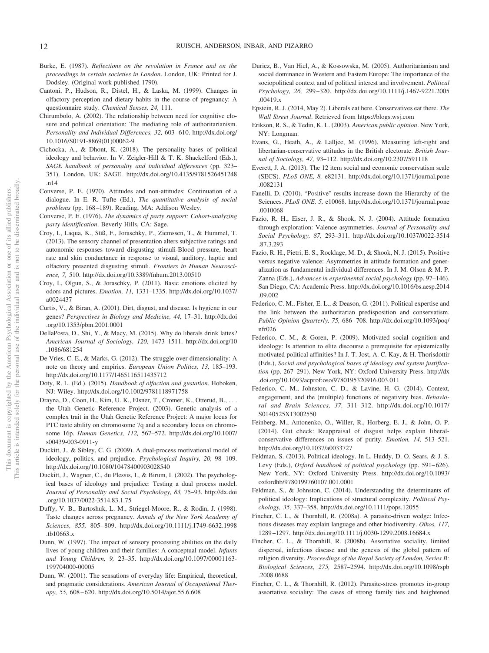- Burke, E. (1987). *Reflections on the revolution in France and on the proceedings in certain societies in London*. London, UK: Printed for J. Dodsley. (Original work published 1790).
- Cantoni, P., Hudson, R., Distel, H., & Laska, M. (1999). Changes in olfactory perception and dietary habits in the course of pregnancy: A questionnaire study. *Chemical Senses, 24,* 111.
- Chirumbolo, A. (2002). The relationship between need for cognitive closure and political orientation: The mediating role of authoritarianism. Personality and Individual Differences, 32, 603-610. [http://dx.doi.org/](http://dx.doi.org/10.1016/S0191-8869%2801%2900062-9) [10.1016/S0191-8869\(01\)00062-9](http://dx.doi.org/10.1016/S0191-8869%2801%2900062-9)
- Cichocka, A., & Dhont, K. (2018). The personality bases of political ideology and behavior. In V. Zeigler-Hill & T. K. Shackelford (Eds.), *SAGE handbook of personality and individual differences* (pp. 323– 351). London, UK: SAGE. [http://dx.doi.org/10.4135/9781526451248](http://dx.doi.org/10.4135/9781526451248.n14) [.n14](http://dx.doi.org/10.4135/9781526451248.n14)
- Converse, P. E. (1970). Attitudes and non-attitudes: Continuation of a dialogue. In E. R. Tufte (Ed.), *The quantitative analysis of social problems* (pp. 168 –189). Reading, MA: Addison Wesley.
- Converse, P. E. (1976). *The dynamics of party support: Cohort-analyzing party identification*. Beverly Hills, CA: Sage.
- Croy, I., Laqua, K., Süß, F., Joraschky, P., Ziemssen, T., & Hummel, T. (2013). The sensory channel of presentation alters subjective ratings and autonomic responses toward disgusting stimuli-Blood pressure, heart rate and skin conductance in response to visual, auditory, haptic and olfactory presented disgusting stimuli. *Frontiers in Human Neuroscience, 7,* 510.<http://dx.doi.org/10.3389/fnhum.2013.00510>
- Croy, I., Olgun, S., & Joraschky, P. (2011). Basic emotions elicited by odors and pictures. *Emotion, 11,* 1331–1335. [http://dx.doi.org/10.1037/](http://dx.doi.org/10.1037/a0024437) [a0024437](http://dx.doi.org/10.1037/a0024437)
- Curtis, V., & Biran, A. (2001). Dirt, disgust, and disease. Is hygiene in our genes? *Perspectives in Biology and Medicine, 44,* 17–31. [http://dx.doi](http://dx.doi.org/10.1353/pbm.2001.0001) [.org/10.1353/pbm.2001.0001](http://dx.doi.org/10.1353/pbm.2001.0001)
- DellaPosta, D., Shi, Y., & Macy, M. (2015). Why do liberals drink lattes? *American Journal of Sociology, 120,* 1473–1511. [http://dx.doi.org/10](http://dx.doi.org/10.1086/681254) [.1086/681254](http://dx.doi.org/10.1086/681254)
- De Vries, C. E., & Marks, G. (2012). The struggle over dimensionality: A note on theory and empirics. *European Union Politics, 13,* 185–193. <http://dx.doi.org/10.1177/1465116511435712>
- Doty, R. L. (Ed.). (2015). *Handbook of olfaction and gustation*. Hoboken, NJ: Wiley.<http://dx.doi.org/10.1002/9781118971758>
- Drayna, D., Coon, H., Kim, U. K., Elsner, T., Cromer, K., Otterud, B., . . . the Utah Genetic Reference Project. (2003). Genetic analysis of a complex trait in the Utah Genetic Reference Project: A major locus for PTC taste ability on chromosome 7q and a secondary locus on chromosome 16p. *Human Genetics, 112,* 567–572. [http://dx.doi.org/10.1007/](http://dx.doi.org/10.1007/s00439-003-0911-y) [s00439-003-0911-y](http://dx.doi.org/10.1007/s00439-003-0911-y)
- Duckitt, J., & Sibley, C. G. (2009). A dual-process motivational model of ideology, politics, and prejudice. *Psychological Inquiry, 20,* 98 –109. <http://dx.doi.org/10.1080/10478400903028540>
- Duckitt, J., Wagner, C., du Plessis, I., & Birum, I. (2002). The psychological bases of ideology and prejudice: Testing a dual process model. *Journal of Personality and Social Psychology, 83,* 75–93. [http://dx.doi](http://dx.doi.org/10.1037/0022-3514.83.1.75) [.org/10.1037/0022-3514.83.1.75](http://dx.doi.org/10.1037/0022-3514.83.1.75)
- Duffy, V. B., Bartoshuk, L. M., Striegel-Moore, R., & Rodin, J. (1998). Taste changes across pregnancy. *Annals of the New York Academy of Sciences, 855,* 805– 809. [http://dx.doi.org/10.1111/j.1749-6632.1998](http://dx.doi.org/10.1111/j.1749-6632.1998.tb10663.x) [.tb10663.x](http://dx.doi.org/10.1111/j.1749-6632.1998.tb10663.x)
- Dunn, W. (1997). The impact of sensory processing abilities on the daily lives of young children and their families: A conceptual model. *Infants and Young Children, 9,* 23–35. [http://dx.doi.org/10.1097/00001163-](http://dx.doi.org/10.1097/00001163-199704000-00005) [199704000-00005](http://dx.doi.org/10.1097/00001163-199704000-00005)
- Dunn, W. (2001). The sensations of everyday life: Empirical, theoretical, and pragmatic considerations. *American Journal of Occupational Therapy, 55,* 608 – 620.<http://dx.doi.org/10.5014/ajot.55.6.608>
- Duriez, B., Van Hiel, A., & Kossowska, M. (2005). Authoritarianism and social dominance in Western and Eastern Europe: The importance of the sociopolitical context and of political interest and involvement. *Political Psychology, 26,* 299 –320. [http://dx.doi.org/10.1111/j.1467-9221.2005](http://dx.doi.org/10.1111/j.1467-9221.2005.00419.x) [.00419.x](http://dx.doi.org/10.1111/j.1467-9221.2005.00419.x)
- Epstein, R. J. (2014, May 2). Liberals eat here. Conservatives eat there. *The Wall Street Journal*. Retrieved from<https://blogs.wsj.com>
- Erikson, R. S., & Tedin, K. L. (2003). *American public opinion*. New York, NY: Longman.
- Evans, G., Heath, A., & Lalljee, M. (1996). Measuring left-right and libertarian-conservative attitudes in the British electorate. *British Journal of Sociology, 47,* 93–112.<http://dx.doi.org/10.2307/591118>
- Everett, J. A. (2013). The 12 item social and economic conservatism scale (SECS). *PLoS ONE, 8,* e82131. [http://dx.doi.org/10.1371/journal.pone](http://dx.doi.org/10.1371/journal.pone.0082131) [.0082131](http://dx.doi.org/10.1371/journal.pone.0082131)
- Fanelli, D. (2010). "Positive" results increase down the Hierarchy of the Sciences. *PLoS ONE, 5,* e10068. [http://dx.doi.org/10.1371/journal.pone](http://dx.doi.org/10.1371/journal.pone.0010068) [.0010068](http://dx.doi.org/10.1371/journal.pone.0010068)
- Fazio, R. H., Eiser, J. R., & Shook, N. J. (2004). Attitude formation through exploration: Valence asymmetries. *Journal of Personality and Social Psychology, 87,* 293–311. [http://dx.doi.org/10.1037/0022-3514](http://dx.doi.org/10.1037/0022-3514.87.3.293) [.87.3.293](http://dx.doi.org/10.1037/0022-3514.87.3.293)
- Fazio, R. H., Pietri, E. S., Rocklage, M. D., & Shook, N. J. (2015). Positive versus negative valence: Asymmetries in attitude formation and generalization as fundamental individual differences. In J. M. Olson & M. P. Zanna (Eds.), *Advances in experimental social psychology* (pp. 97–146). San Diego, CA: Academic Press. [http://dx.doi.org/10.1016/bs.aesp.2014](http://dx.doi.org/10.1016/bs.aesp.2014.09.002) [.09.002](http://dx.doi.org/10.1016/bs.aesp.2014.09.002)
- Federico, C. M., Fisher, E. L., & Deason, G. (2011). Political expertise and the link between the authoritarian predisposition and conservatism. *Public Opinion Quarterly, 75,* 686 –708. [http://dx.doi.org/10.1093/poq/](http://dx.doi.org/10.1093/poq/nfr026) [nfr026](http://dx.doi.org/10.1093/poq/nfr026)
- Federico, C. M., & Goren, P. (2009). Motivated social cognition and ideology: Is attention to elite discourse a prerequisite for epistemically motivated political affinities? In J. T. Jost, A. C. Kay, & H. Thorisdottir (Eds.), *Social and psychological bases of ideology and system justification* (pp. 267–291). New York, NY: Oxford University Press. [http://dx](http://dx.doi.org/10.1093/acprof:oso/9780195320916.003.011) [.doi.org/10.1093/acprof:oso/9780195320916.003.011](http://dx.doi.org/10.1093/acprof:oso/9780195320916.003.011)
- Federico, C. M., Johnston, C. D., & Lavine, H. G. (2014). Context, engagement, and the (multiple) functions of negativity bias. *Behavioral and Brain Sciences, 37,* 311–312. [http://dx.doi.org/10.1017/](http://dx.doi.org/10.1017/S0140525X13002550) [S0140525X13002550](http://dx.doi.org/10.1017/S0140525X13002550)
- Feinberg, M., Antonenko, O., Willer, R., Horberg, E. J., & John, O. P. (2014). Gut check: Reappraisal of disgust helps explain liberalconservative differences on issues of purity. *Emotion, 14,* 513–521. <http://dx.doi.org/10.1037/a0033727>
- Feldman, S. (2013). Political ideology. In L. Huddy, D. O. Sears, & J. S. Levy (Eds.), *Oxford handbook of political psychology* (pp. 591–626). New York, NY: Oxford University Press. [http://dx.doi.org/10.1093/](http://dx.doi.org/10.1093/oxfordhb/9780199760107.001.0001) [oxfordhb/9780199760107.001.0001](http://dx.doi.org/10.1093/oxfordhb/9780199760107.001.0001)
- Feldman, S., & Johnston, C. (2014). Understanding the determinants of political ideology: Implications of structural complexity. *Political Psychology, 35,* 337–358.<http://dx.doi.org/10.1111/pops.12055>
- Fincher, C. L., & Thornhill, R. (2008a). A parasite-driven wedge: Infectious diseases may explain language and other biodiversity. *Oikos, 117,* 1289 –1297.<http://dx.doi.org/10.1111/j.0030-1299.2008.16684.x>
- Fincher, C. L., & Thornhill, R. (2008b). Assortative sociality, limited dispersal, infectious disease and the genesis of the global pattern of religion diversity. *Proceedings of the Royal Society of London, Series B: Biological Sciences, 275,* 2587–2594. [http://dx.doi.org/10.1098/rspb](http://dx.doi.org/10.1098/rspb.2008.0688) [.2008.0688](http://dx.doi.org/10.1098/rspb.2008.0688)
- Fincher, C. L., & Thornhill, R. (2012). Parasite-stress promotes in-group assortative sociality: The cases of strong family ties and heightened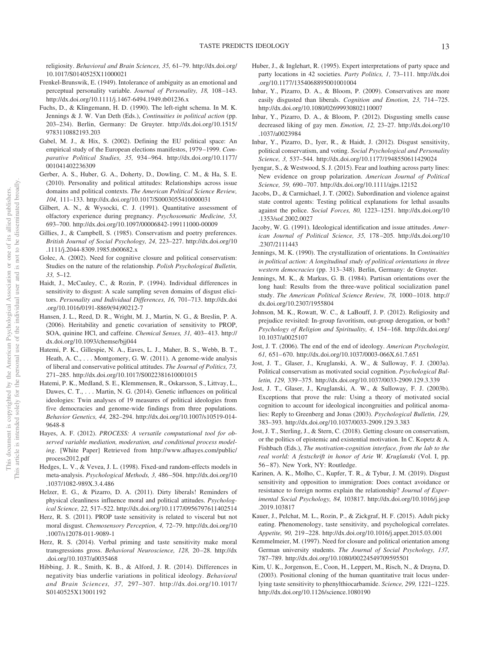religiosity. *Behavioral and Brain Sciences, 35,* 61–79. [http://dx.doi.org/](http://dx.doi.org/10.1017/S0140525X11000021) [10.1017/S0140525X11000021](http://dx.doi.org/10.1017/S0140525X11000021)

- Frenkel-Brunswik, E. (1949). Intolerance of ambiguity as an emotional and perceptual personality variable. *Journal of Personality, 18,* 108 –143. <http://dx.doi.org/10.1111/j.1467-6494.1949.tb01236.x>
- Fuchs, D., & Klingemann, H. D. (1990). The left-right schema. In M. K. Jennings & J. W. Van Deth (Eds.), *Continuities in political action* (pp. 203–234). Berlin, Germany: De Gruyter. [http://dx.doi.org/10.1515/](http://dx.doi.org/10.1515/9783110882193.203) [9783110882193.203](http://dx.doi.org/10.1515/9783110882193.203)
- Gabel, M. J., & Hix, S. (2002). Defining the EU political space: An empirical study of the European elections manifestos, 1979 –1999. *Comparative Political Studies, 35,* 934 –964. [http://dx.doi.org/10.1177/](http://dx.doi.org/10.1177/001041402236309) [001041402236309](http://dx.doi.org/10.1177/001041402236309)
- Gerber, A. S., Huber, G. A., Doherty, D., Dowling, C. M., & Ha, S. E. (2010). Personality and political attitudes: Relationships across issue domains and political contexts. *The American Political Science Review, 104,* 111–133.<http://dx.doi.org/10.1017/S0003055410000031>
- Gilbert, A. N., & Wysocki, C. J. (1991). Quantitative assessment of olfactory experience during pregnancy. *Psychosomatic Medicine, 53,* 693–700.<http://dx.doi.org/10.1097/00006842-199111000-00009>
- Gillies, J., & Campbell, S. (1985). Conservatism and poetry preferences. *British Journal of Social Psychology, 24,* 223–227. [http://dx.doi.org/10](http://dx.doi.org/10.1111/j.2044-8309.1985.tb00682.x) [.1111/j.2044-8309.1985.tb00682.x](http://dx.doi.org/10.1111/j.2044-8309.1985.tb00682.x)
- Golec, A. (2002). Need for cognitive closure and political conservatism: Studies on the nature of the relationship. *Polish Psychological Bulletin, 33,* 5–12.
- Haidt, J., McCauley, C., & Rozin, P. (1994). Individual differences in sensitivity to disgust: A scale sampling seven domains of disgust elicitors. *Personality and Individual Differences, 16,* 701–713. [http://dx.doi](http://dx.doi.org/10.1016/0191-8869%2894%2990212-7) [.org/10.1016/0191-8869\(94\)90212-7](http://dx.doi.org/10.1016/0191-8869%2894%2990212-7)
- Hansen, J. L., Reed, D. R., Wright, M. J., Martin, N. G., & Breslin, P. A. (2006). Heritability and genetic covariation of sensitivity to PROP, SOA, quinine HCl, and caffeine. *Chemical Senses, 31, 403–413*. [http://](http://dx.doi.org/10.1093/chemse/bjj044) [dx.doi.org/10.1093/chemse/bjj044](http://dx.doi.org/10.1093/chemse/bjj044)
- Hatemi, P. K., Gillespie, N. A., Eaves, L. J., Maher, B. S., Webb, B. T., Heath, A. C., ... Montgomery, G. W. (2011). A genome-wide analysis of liberal and conservative political attitudes. *The Journal of Politics, 73,* 271–285.<http://dx.doi.org/10.1017/S0022381610001015>
- Hatemi, P. K., Medland, S. E., Klemmensen, R., Oskarsson, S., Littvay, L., Dawes, C. T., ... Martin, N. G. (2014). Genetic influences on political ideologies: Twin analyses of 19 measures of political ideologies from five democracies and genome-wide findings from three populations. *Behavior Genetics, 44,* 282–294. [http://dx.doi.org/10.1007/s10519-014-](http://dx.doi.org/10.1007/s10519-014-9648-8) [9648-8](http://dx.doi.org/10.1007/s10519-014-9648-8)
- Hayes, A. F. (2012). *PROCESS: A versatile computational tool for observed variable mediation, moderation, and conditional process modeling*. [White Paper] Retrieved from [http://www.afhayes.com/public/](http://www.afhayes.com/public/process2012.pdf) [process2012.pdf](http://www.afhayes.com/public/process2012.pdf)
- Hedges, L. V., & Vevea, J. L. (1998). Fixed-and random-effects models in meta-analysis. *Psychological Methods, 3,* 486 –504. [http://dx.doi.org/10](http://dx.doi.org/10.1037/1082-989X.3.4.486) [.1037/1082-989X.3.4.486](http://dx.doi.org/10.1037/1082-989X.3.4.486)
- Helzer, E. G., & Pizarro, D. A. (2011). Dirty liberals! Reminders of physical cleanliness influence moral and political attitudes. *Psychological Science, 22,* 517–522.<http://dx.doi.org/10.1177/0956797611402514>
- Herz, R. S. (2011). PROP taste sensitivity is related to visceral but not moral disgust. *Chemosensory Perception, 4,* 72–79. [http://dx.doi.org/10](http://dx.doi.org/10.1007/s12078-011-9089-1) [.1007/s12078-011-9089-1](http://dx.doi.org/10.1007/s12078-011-9089-1)
- Herz, R. S. (2014). Verbal priming and taste sensitivity make moral transgressions gross. *Behavioral Neuroscience, 128,* 20 –28. [http://dx](http://dx.doi.org/10.1037/a0035468) [.doi.org/10.1037/a0035468](http://dx.doi.org/10.1037/a0035468)
- Hibbing, J. R., Smith, K. B., & Alford, J. R. (2014). Differences in negativity bias underlie variations in political ideology. *Behavioral and Brain Sciences, 37,* 297–307. [http://dx.doi.org/10.1017/](http://dx.doi.org/10.1017/S0140525X13001192) [S0140525X13001192](http://dx.doi.org/10.1017/S0140525X13001192)
- Huber, J., & Inglehart, R. (1995). Expert interpretations of party space and party locations in 42 societies. *Party Politics, 1,* 73–111. [http://dx.doi](http://dx.doi.org/10.1177/1354068895001001004) [.org/10.1177/1354068895001001004](http://dx.doi.org/10.1177/1354068895001001004)
- Inbar, Y., Pizarro, D. A., & Bloom, P. (2009). Conservatives are more easily disgusted than liberals. *Cognition and Emotion, 23,* 714 –725. <http://dx.doi.org/10.1080/02699930802110007>
- Inbar, Y., Pizarro, D. A., & Bloom, P. (2012). Disgusting smells cause decreased liking of gay men. *Emotion, 12,* 23–27. [http://dx.doi.org/10](http://dx.doi.org/10.1037/a0023984) [.1037/a0023984](http://dx.doi.org/10.1037/a0023984)
- Inbar, Y., Pizarro, D., Iyer, R., & Haidt, J. (2012). Disgust sensitivity, political conservatism, and voting. *Social Psychological and Personality Science, 3,* 537–544.<http://dx.doi.org/10.1177/1948550611429024>
- Iyengar, S., & Westwood, S. J. (2015). Fear and loathing across party lines: New evidence on group polarization. *American Journal of Political Science, 59,* 690 –707.<http://dx.doi.org/10.1111/ajps.12152>
- Jacobs, D., & Carmichael, J. T. (2002). Subordination and violence against state control agents: Testing political explanations for lethal assaults against the police. *Social Forces, 80,* 1223–1251. [http://dx.doi.org/10](http://dx.doi.org/10.1353/sof.2002.0027) [.1353/sof.2002.0027](http://dx.doi.org/10.1353/sof.2002.0027)
- Jacoby, W. G. (1991). Ideological identification and issue attitudes. *American Journal of Political Science, 35,* 178 –205. [http://dx.doi.org/10](http://dx.doi.org/10.2307/2111443) [.2307/2111443](http://dx.doi.org/10.2307/2111443)
- Jennings, M. K. (1990). The crystallization of orientations. In *Continuities in political action: A longitudinal study of political orientations in three western democracies* (pp. 313–348). Berlin, Germany: de Gruyter.
- Jennings, M. K., & Markus, G. B. (1984). Partisan orientations over the long haul: Results from the three-wave political socialization panel study. *The American Political Science Review, 78,* 1000 –1018. [http://](http://dx.doi.org/10.2307/1955804) [dx.doi.org/10.2307/1955804](http://dx.doi.org/10.2307/1955804)
- Johnson, M. K., Rowatt, W. C., & LaBouff, J. P. (2012). Religiosity and prejudice revisited: In-group favoritism, out-group derogation, or both? *Psychology of Religion and Spirituality, 4,* 154 –168. [http://dx.doi.org/](http://dx.doi.org/10.1037/a0025107) [10.1037/a0025107](http://dx.doi.org/10.1037/a0025107)
- Jost, J. T. (2006). The end of the end of ideology. *American Psychologist, 61,* 651– 670.<http://dx.doi.org/10.1037/0003-066X.61.7.651>
- Jost, J. T., Glaser, J., Kruglanski, A. W., & Sulloway, F. J. (2003a). Political conservatism as motivated social cognition. *Psychological Bulletin, 129,* 339 –375.<http://dx.doi.org/10.1037/0033-2909.129.3.339>
- Jost, J. T., Glaser, J., Kruglanski, A. W., & Sulloway, F. J. (2003b). Exceptions that prove the rule: Using a theory of motivated social cognition to account for ideological incongruities and political anomalies: Reply to Greenberg and Jonas (2003). *Psychological Bulletin, 129,* 383–393.<http://dx.doi.org/10.1037/0033-2909.129.3.383>
- Jost, J. T., Sterling, J., & Stern, C. (2018). Getting closure on conservatism, or the politics of epistemic and existential motivation. In C. Kopetz & A. Fishbach (Eds.), *The motivation-cognition interface, from the lab to the real world: A festschrift in honor of Arie W. Kruglanski* (Vol. I, pp. 56 – 87). New York, NY: Routledge.
- Karinen, A. K., Molho, C., Kupfer, T. R., & Tybur, J. M. (2019). Disgust sensitivity and opposition to immigration: Does contact avoidance or resistance to foreign norms explain the relationship? *Journal of Experimental Social Psychology, 84,* 103817. [http://dx.doi.org/10.1016/j.jesp](http://dx.doi.org/10.1016/j.jesp.2019.103817) [.2019.103817](http://dx.doi.org/10.1016/j.jesp.2019.103817)
- Kauer, J., Pelchat, M. L., Rozin, P., & Zickgraf, H. F. (2015). Adult picky eating. Phenomenology, taste sensitivity, and psychological correlates. *Appetite, 90,* 219 –228.<http://dx.doi.org/10.1016/j.appet.2015.03.001>
- Kemmelmeier, M. (1997). Need for closure and political orientation among German university students. *The Journal of Social Psychology, 137,* 787–789.<http://dx.doi.org/10.1080/00224549709595501>
- Kim, U. K., Jorgenson, E., Coon, H., Leppert, M., Risch, N., & Drayna, D. (2003). Positional cloning of the human quantitative trait locus underlying taste sensitivity to phenylthiocarbamide. *Science, 299,* 1221–1225. <http://dx.doi.org/10.1126/science.1080190>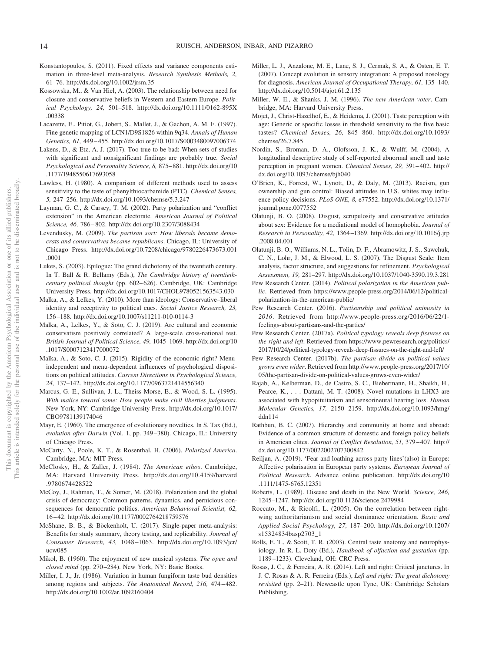- Konstantopoulos, S. (2011). Fixed effects and variance components estimation in three-level meta-analysis. *Research Synthesis Methods, 2,* 61–76.<http://dx.doi.org/10.1002/jrsm.35>
- <span id="page-14-0"></span>Kossowska, M., & Van Hiel, A. (2003). The relationship between need for closure and conservative beliefs in Western and Eastern Europe. *Political Psychology, 24,* 501–518. [http://dx.doi.org/10.1111/0162-895X](http://dx.doi.org/10.1111/0162-895X.00338) [.00338](http://dx.doi.org/10.1111/0162-895X.00338)
- Lacazette, E., Pitiot, G., Jobert, S., Mallet, J., & Gachon, A. M. F. (1997). Fine genetic mapping of LCN1/D9S1826 within 9q34. *Annals of Human Genetics, 61,* 449 – 455.<http://dx.doi.org/10.1017/S0003480097006374>
- Lakens, D., & Etz, A. J. (2017). Too true to be bad: When sets of studies with significant and nonsignificant findings are probably true. *Social Psychological and Personality Science, 8,* 875– 881. [http://dx.doi.org/10](http://dx.doi.org/10.1177/1948550617693058) [.1177/1948550617693058](http://dx.doi.org/10.1177/1948550617693058)
- Lawless, H. (1980). A comparison of different methods used to assess sensitivity to the taste of phenylthiocarbamide (PTC). *Chemical Senses, 5,* 247–256.<http://dx.doi.org/10.1093/chemse/5.3.247>
- Layman, G. C., & Carsey, T. M. (2002). Party polarization and "conflict extension" in the American electorate. *American Journal of Political Science, 46,* 786 – 802.<http://dx.doi.org/10.2307/3088434>
- Levendusky, M. (2009). *The partisan sort: How liberals became democrats and conservatives became republicans*. Chicago, IL: University of Chicago Press. [http://dx.doi.org/10.7208/chicago/9780226473673.001](http://dx.doi.org/10.7208/chicago/9780226473673.001.0001) [.0001](http://dx.doi.org/10.7208/chicago/9780226473673.001.0001)
- Lukes, S. (2003). Epilogue: The grand dichotomy of the twentieth century. In T. Ball & R. Bellamy (Eds.), *The Cambridge history of twentiethcentury political thought* (pp. 602– 626). Cambridge, UK: Cambridge University Press.<http://dx.doi.org/10.1017/CHOL9780521563543.030>
- Malka, A., & Lelkes, Y. (2010). More than ideology: Conservative–liberal identity and receptivity to political cues. *Social Justice Research, 23,* 156 –188.<http://dx.doi.org/10.1007/s11211-010-0114-3>
- Malka, A., Lelkes, Y., & Soto, C. J. (2019). Are cultural and economic conservatism positively correlated? A large-scale cross-national test. *British Journal of Political Science, 49,* 1045–1069. [http://dx.doi.org/10](http://dx.doi.org/10.1017/S0007123417000072) [.1017/S0007123417000072](http://dx.doi.org/10.1017/S0007123417000072)
- Malka, A., & Soto, C. J. (2015). Rigidity of the economic right? Menuindependent and menu-dependent influences of psychological dispositions on political attitudes. *Current Directions in Psychological Science, 24,* 137–142.<http://dx.doi.org/10.1177/0963721414556340>
- Marcus, G. E., Sullivan, J. L., Theiss-Morse, E., & Wood, S. L. (1995). *With malice toward some: How people make civil liberties judgments*. New York, NY: Cambridge University Press. [http://dx.doi.org/10.1017/](http://dx.doi.org/10.1017/CBO9781139174046) [CBO9781139174046](http://dx.doi.org/10.1017/CBO9781139174046)
- Mayr, E. (1960). The emergence of evolutionary novelties. In S. Tax (Ed.), *evolution after Darwin* (Vol. 1, pp. 349 –380). Chicago, IL: University of Chicago Press.
- McCarty, N., Poole, K. T., & Rosenthal, H. (2006). *Polarized America*. Cambridge, MA: MIT Press.
- McClosky, H., & Zaller, J. (1984). *The American ethos*. Cambridge, MA: Harvard University Press. [http://dx.doi.org/10.4159/harvard](http://dx.doi.org/10.4159/harvard.9780674428522) [.9780674428522](http://dx.doi.org/10.4159/harvard.9780674428522)
- McCoy, J., Rahman, T., & Somer, M. (2018). Polarization and the global crisis of democracy: Common patterns, dynamics, and pernicious consequences for democratic politics. *American Behavioral Scientist, 62,* 16 – 42.<http://dx.doi.org/10.1177/0002764218759576>
- McShane, B. B., & Böckenholt, U. (2017). Single-paper meta-analysis: Benefits for study summary, theory testing, and replicability. *Journal of Consumer Research, 43,* 1048 –1063. [http://dx.doi.org/10.1093/jcr/](http://dx.doi.org/10.1093/jcr/ucw085) [ucw085](http://dx.doi.org/10.1093/jcr/ucw085)
- Mikol, B. (1960). The enjoyment of new musical systems. *The open and closed mind* (pp. 270 –284). New York, NY: Basic Books.
- Miller, I. J., Jr. (1986). Variation in human fungiform taste bud densities among regions and subjects. *The Anatomical Record, 216,* 474 – 482. <http://dx.doi.org/10.1002/ar.1092160404>
- Miller, L. J., Anzalone, M. E., Lane, S. J., Cermak, S. A., & Osten, E. T. (2007). Concept evolution in sensory integration: A proposed nosology for diagnosis. *American Journal of Occupational Therapy, 61,* 135–140. <http://dx.doi.org/10.5014/ajot.61.2.135>
- Miller, W. E., & Shanks, J. M. (1996). *The new American voter*. Cambridge, MA: Harvard University Press.
- Mojet, J., Christ-Hazelhof, E., & Heidema, J. (2001). Taste perception with age: Generic or specific losses in threshold sensitivity to the five basic tastes? *Chemical Senses, 26,* 845– 860. [http://dx.doi.org/10.1093/](http://dx.doi.org/10.1093/chemse/26.7.845) [chemse/26.7.845](http://dx.doi.org/10.1093/chemse/26.7.845)
- Nordin, S., Broman, D. A., Olofsson, J. K., & Wulff, M. (2004). A longitudinal descriptive study of self-reported abnormal smell and taste perception in pregnant women. *Chemical Senses, 29,* 391– 402. [http://](http://dx.doi.org/10.1093/chemse/bjh040) [dx.doi.org/10.1093/chemse/bjh040](http://dx.doi.org/10.1093/chemse/bjh040)
- O'Brien, K., Forrest, W., Lynott, D., & Daly, M. (2013). Racism, gun ownership and gun control: Biased attitudes in U.S. whites may influence policy decisions. *PLoS ONE, 8,* e77552. [http://dx.doi.org/10.1371/](http://dx.doi.org/10.1371/journal.pone.0077552) [journal.pone.0077552](http://dx.doi.org/10.1371/journal.pone.0077552)
- Olatunji, B. O. (2008). Disgust, scrupulosity and conservative attitudes about sex: Evidence for a mediational model of homophobia. *Journal of Research in Personality, 42,* 1364 –1369. [http://dx.doi.org/10.1016/j.jrp](http://dx.doi.org/10.1016/j.jrp.2008.04.001) [.2008.04.001](http://dx.doi.org/10.1016/j.jrp.2008.04.001)
- Olatunji, B. O., Williams, N. L., Tolin, D. F., Abramowitz, J. S., Sawchuk, C. N., Lohr, J. M., & Elwood, L. S. (2007). The Disgust Scale: Item analysis, factor structure, and suggestions for refinement. *Psychological Assessment, 19,* 281–297.<http://dx.doi.org/10.1037/1040-3590.19.3.281>
- Pew Research Center. (2014). *Political polarization in the American public*. Retrieved from [https://www.people-press.org/2014/06/12/political](https://www.people-press.org/2014/06/12/political-polarization-in-the-american-public/)[polarization-in-the-american-public/](https://www.people-press.org/2014/06/12/political-polarization-in-the-american-public/)
- Pew Research Center. (2016). *Partisanship and political animosity in 2016*. Retrieved from [http://www.people-press.org/2016/06/22/1](http://www.people-press.org/2016/06/22/1-feelings-about-partisans-and-the-parties/) [feelings-about-partisans-and-the-parties/](http://www.people-press.org/2016/06/22/1-feelings-about-partisans-and-the-parties/)
- Pew Research Center. (2017a). *Political typology reveals deep fissures on the right and left*. Retrieved from [https://www.pewresearch.org/politics/](https://www.pewresearch.org/politics/2017/10/24/political-typology-reveals-deep-fissures-on-the-right-and-left/) [2017/10/24/political-typology-reveals-deep-fissures-on-the-right-and-left/](https://www.pewresearch.org/politics/2017/10/24/political-typology-reveals-deep-fissures-on-the-right-and-left/)
- Pew Research Center. (2017b). *The partisan divide on political values grows even wider*. Retrieved from [http://www.people-press.org/2017/10/](http://www.people-press.org/2017/10/05/the-partisan-divide-on-political-values-grows-even-wider/) [05/the-partisan-divide-on-political-values-grows-even-wider/](http://www.people-press.org/2017/10/05/the-partisan-divide-on-political-values-grows-even-wider/)
- Rajab, A., Kelberman, D., de Castro, S. C., Biebermann, H., Shaikh, H., Pearce, K., ... Dattani, M. T. (2008). Novel mutations in LHX3 are associated with hypopituitarism and sensorineural hearing loss. *Human Molecular Genetics, 17,* 2150 –2159. [http://dx.doi.org/10.1093/hmg/](http://dx.doi.org/10.1093/hmg/ddn114) [ddn114](http://dx.doi.org/10.1093/hmg/ddn114)
- Rathbun, B. C. (2007). Hierarchy and community at home and abroad: Evidence of a common structure of domestic and foreign policy beliefs in American elites. *Journal of Conflict Resolution, 51,* 379 – 407. [http://](http://dx.doi.org/10.1177/0022002707300842) [dx.doi.org/10.1177/0022002707300842](http://dx.doi.org/10.1177/0022002707300842)
- Reiljan, A. (2019). 'Fear and loathing across party lines'(also) in Europe: Affective polarisation in European party systems. *European Journal of Political Research*. Advance online publication. [http://dx.doi.org/10](http://dx.doi.org/10.1111/1475-6765.12351) [.1111/1475-6765.12351](http://dx.doi.org/10.1111/1475-6765.12351)
- Roberts, L. (1989). Disease and death in the New World. *Science, 246,* 1245–1247.<http://dx.doi.org/10.1126/science.2479984>
- Roccato, M., & Ricolfi, L. (2005). On the correlation between rightwing authoritarianism and social dominance orientation. *Basic and Applied Social Psychology, 27,* 187–200. [http://dx.doi.org/10.1207/](http://dx.doi.org/10.1207/s15324834basp2703_1) [s15324834basp2703\\_1](http://dx.doi.org/10.1207/s15324834basp2703_1)
- Rolls, E. T., & Scott, T. R. (2003). Central taste anatomy and neurophysiology. In R. L. Doty (Ed.), *Handbook of olfaction and gustation* (pp. 1189 –1233). Cleveland, OH: CRC Press.
- Rosas, J. C., & Ferreira, A. R. (2014). Left and right: Critical junctures. In J. C. Rosas & A. R. Ferreira (Eds.), *Left and right: The great dichotomy revisited* (pp. 2–21). Newcastle upon Tyne, UK: Cambridge Scholars Publishing.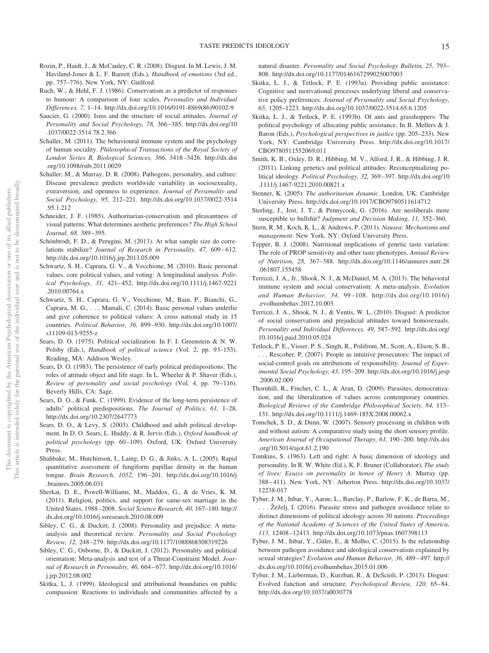- Rozin, P., Haidt, J., & McCauley, C. R. (2008). Disgust. In M. Lewis, J. M. Haviland-Jones & L. F. Barrett (Eds.), *Handbook of emotions* (3rd ed., pp. 757–776). New York, NY: Guilford.
- Ruch, W., & Hehl, F. J. (1986). Conservatism as a predictor of responses to humour: A comparison of four scales. *Personality and Individual Differences, 7,* 1–14. [http://dx.doi.org/10.1016/0191-8869\(86\)90102-9](http://dx.doi.org/10.1016/0191-8869%2886%2990102-9)
- Saucier, G. (2000). Isms and the structure of social attitudes. *Journal of Personality and Social Psychology, 78,* 366 –385. [http://dx.doi.org/10](http://dx.doi.org/10.1037/0022-3514.78.2.366) [.1037/0022-3514.78.2.366](http://dx.doi.org/10.1037/0022-3514.78.2.366)
- Schaller, M. (2011). The behavioural immune system and the psychology of human sociality. *Philosophical Transactions of the Royal Society of London Series B, Biological Sciences, 366,* 3418 –3426. [http://dx.doi](http://dx.doi.org/10.1098/rstb.2011.0029) [.org/10.1098/rstb.2011.0029](http://dx.doi.org/10.1098/rstb.2011.0029)
- Schaller, M., & Murray, D. R. (2008). Pathogens, personality, and culture: Disease prevalence predicts worldwide variability in sociosexuality, extraversion, and openness to experience. *Journal of Personality and Social Psychology, 95,* 212–221. [http://dx.doi.org/10.1037/0022-3514](http://dx.doi.org/10.1037/0022-3514.95.1.212) [.95.1.212](http://dx.doi.org/10.1037/0022-3514.95.1.212)
- Schneider, J. F. (1985). Authoritarian-conservatism and pleasantness of visual patterns: What determines aesthetic preferences? *The High School Journal, 68,* 389 –395.
- Schönbrodt, F. D., & Perugini, M. (2013). At what sample size do correlations stabilize? *Journal of Research in Personality, 47, 609-612*. <http://dx.doi.org/10.1016/j.jrp.2013.05.009>
- Schwartz, S. H., Caprara, G. V., & Vecchione, M. (2010). Basic personal values, core political values, and voting: A longitudinal analysis. *Political Psychology, 31,* 421– 452. [http://dx.doi.org/10.1111/j.1467-9221](http://dx.doi.org/10.1111/j.1467-9221.2010.00764.x) [.2010.00764.x](http://dx.doi.org/10.1111/j.1467-9221.2010.00764.x)
- Schwartz, S. H., Caprara, G. V., Vecchione, M., Bain, P., Bianchi, G., Caprara, M. G.,... Mamali, C. (2014). Basic personal values underlie and give coherence to political values: A cross national study in 15 countries. *Political Behavior, 36,* 899 –930. [http://dx.doi.org/10.1007/](http://dx.doi.org/10.1007/s11109-013-9255-z) [s11109-013-9255-z](http://dx.doi.org/10.1007/s11109-013-9255-z)
- Sears, D. O. (1975). Political socialization. In F. I. Greenstein & N. W. Polsby (Eds.), *Handbook of political science* (Vol. 2, pp. 93–153). Reading, MA: Addison Wesley.
- Sears, D. O. (1983). The persistence of early political predispositions: The roles of attitude object and life stage. In L. Wheeler & P. Shaver (Eds.), *Review of personality and social psychology* (Vol. 4, pp. 79 –116). Beverly Hills, CA: Sage.
- Sears, D. O., & Funk, C. (1999). Evidence of the long-term persistence of adults' political predispositions. *The Journal of Politics, 61,* 1–28. <http://dx.doi.org/10.2307/2647773>
- Sears, D. O., & Levy, S. (2003). Childhood and adult political development. In D. O. Sears, L. Huddy, & R. Jervis (Eds.), *Oxford handbook of political psychology* (pp. 60 –109). Oxford, UK: Oxford University Press.
- Shahbake, M., Hutchinson, I., Laing, D. G., & Jinks, A. L. (2005). Rapid quantitative assessment of fungiform papillae density in the human tongue. *Brain Research, 1052,* 196 –201. [http://dx.doi.org/10.1016/j](http://dx.doi.org/10.1016/j.brainres.2005.06.031) [.brainres.2005.06.031](http://dx.doi.org/10.1016/j.brainres.2005.06.031)
- Sherkat, D. E., Powell-Williams, M., Maddox, G., & de Vries, K. M. (2011). Religion, politics, and support for same-sex marriage in the United States, 1988 –2008. *Social Science Research, 40,* 167–180. [http://](http://dx.doi.org/10.1016/j.ssresearch.2010.08.009) [dx.doi.org/10.1016/j.ssresearch.2010.08.009](http://dx.doi.org/10.1016/j.ssresearch.2010.08.009)
- Sibley, C. G., & Duckitt, J. (2008). Personality and prejudice: A metaanalysis and theoretical review. *Personality and Social Psychology Review, 12,* 248 –279.<http://dx.doi.org/10.1177/1088868308319226>
- Sibley, C. G., Osborne, D., & Duckitt, J. (2012). Personality and political orientation: Meta-analysis and test of a Threat-Constraint Model. *Journal of Research in Personality, 46,* 664 – 677. [http://dx.doi.org/10.1016/](http://dx.doi.org/10.1016/j.jrp.2012.08.002) [j.jrp.2012.08.002](http://dx.doi.org/10.1016/j.jrp.2012.08.002)
- Skitka, L. J. (1999). Ideological and attributional boundaries on public compassion: Reactions to individuals and communities affected by a

natural disaster. *Personality and Social Psychology Bulletin, 25,* 793– 808.<http://dx.doi.org/10.1177/0146167299025007003>

- Skitka, L. J., & Tetlock, P. E. (1993a). Providing public assistance: Cognitive and motivational processes underlying liberal and conservative policy preferences. *Journal of Personality and Social Psychology, 65,* 1205–1223.<http://dx.doi.org/10.1037/0022-3514.65.6.1205>
- Skitka, L. J., & Tetlock, P. E. (1993b). Of ants and grasshoppers: The political psychology of allocating public assistance. In B. Mellers & J. Baron (Eds.), *Psychological perspectives in justice* (pp. 205–233). New York, NY: Cambridge University Press. [http://dx.doi.org/10.1017/](http://dx.doi.org/10.1017/CBO9780511552069.011) [CBO9780511552069.011](http://dx.doi.org/10.1017/CBO9780511552069.011)
- Smith, K. B., Oxley, D. R., Hibbing, M. V., Alford, J. R., & Hibbing, J. R. (2011). Linking genetics and political attitudes: Reconceptualizing political ideology. *Political Psychology, 32,* 369 –397. [http://dx.doi.org/10](http://dx.doi.org/10.1111/j.1467-9221.2010.00821.x) [.1111/j.1467-9221.2010.00821.x](http://dx.doi.org/10.1111/j.1467-9221.2010.00821.x)
- Stenner, K. (2005). *The authoritarian dynamic*. London, UK: Cambridge University Press.<http://dx.doi.org/10.1017/CBO9780511614712>
- Sterling, J., Jost, J. T., & Pennycook, G. (2016). Are neoliberals more susceptible to bullshit? *Judgment and Decision Making, 11,* 352–360.
- Stern, R. M., Koch, K. L., & Andrews, P. (2011). *Nausea: Mechanisms and management*. New York, NY: Oxford University Press.
- Tepper, B. J. (2008). Nutritional implications of genetic taste variation: The role of PROP sensitivity and other taste phenotypes. *Annual Review of Nutrition, 28,* 367–388. [http://dx.doi.org/10.1146/annurev.nutr.28](http://dx.doi.org/10.1146/annurev.nutr.28.061807.155458) [.061807.155458](http://dx.doi.org/10.1146/annurev.nutr.28.061807.155458)
- Terrizzi, J. A., Jr., Shook, N. J., & McDaniel, M. A. (2013). The behavioral immune system and social conservatism: A meta-analysis. *Evolution and Human Behavior, 34,* 99 –108. [http://dx.doi.org/10.1016/j](http://dx.doi.org/10.1016/j.evolhumbehav.2012.10.003) [.evolhumbehav.2012.10.003](http://dx.doi.org/10.1016/j.evolhumbehav.2012.10.003)
- Terrizzi, J. A., Shook, N. J., & Ventis, W. L. (2010). Disgust: A predictor of social conservatism and prejudicial attitudes toward homosexuals. *Personality and Individual Differences, 49,* 587–592. [http://dx.doi.org/](http://dx.doi.org/10.1016/j.paid.2010.05.024) [10.1016/j.paid.2010.05.024](http://dx.doi.org/10.1016/j.paid.2010.05.024)
- Tetlock, P. E., Visser, P. S., Singh, R., Polifroni, M., Scott, A., Elson, S. B., . . . Rescober, P. (2007). People as intuitive prosecutors: The impact of social-control goals on attributions of responsibility. *Journal of Experimental Social Psychology, 43,* 195–209. [http://dx.doi.org/10.1016/j.jesp](http://dx.doi.org/10.1016/j.jesp.2006.02.009) [.2006.02.009](http://dx.doi.org/10.1016/j.jesp.2006.02.009)
- Thornhill, R., Fincher, C. L., & Aran, D. (2009). Parasites, democratization, and the liberalization of values across contemporary countries. *Biological Reviews of the Cambridge Philosophical Society, 84,* 113– 131.<http://dx.doi.org/10.1111/j.1469-185X.2008.00062.x>
- Tomchek, S. D., & Dunn, W. (2007). Sensory processing in children with and without autism: A comparative study using the short sensory profile. *American Journal of Occupational Therapy, 61,* 190 –200. [http://dx.doi](http://dx.doi.org/10.5014/ajot.61.2.190) [.org/10.5014/ajot.61.2.190](http://dx.doi.org/10.5014/ajot.61.2.190)
- Tomkins, S. (1963). Left and right: A basic dimension of ideology and personality. In R. W. White (Ed.), K. F. Bruner (Collaborator), *The study of lives: Essays on personality in honor of Henry A*. Murray (pp. 388 – 411). New York, NY: Atherton Press. [http://dx.doi.org/10.1037/](http://dx.doi.org/10.1037/12238-017) [12238-017](http://dx.doi.org/10.1037/12238-017)
- Tybur, J. M., Inbar, Y., Aarøe, L., Barclay, P., Barlow, F. K., de Barra, M., . . . Žeželj, I. (2016). Parasite stress and pathogen avoidance relate to distinct dimensions of political ideology across 30 nations. *Proceedings of the National Academy of Sciences of the United States of America, 113,* 12408 –12413.<http://dx.doi.org/10.1073/pnas.1607398113>
- Tybur, J. M., Inbar, Y., Güler, E., & Molho, C. (2015). Is the relationship between pathogen avoidance and ideological conservatism explained by sexual strategies? *Evolution and Human Behavior, 36,* 489 – 497. [http://](http://dx.doi.org/10.1016/j.evolhumbehav.2015.01.006) [dx.doi.org/10.1016/j.evolhumbehav.2015.01.006](http://dx.doi.org/10.1016/j.evolhumbehav.2015.01.006)
- Tybur, J. M., Lieberman, D., Kurzban, R., & DeScioli, P. (2013). Disgust: Evolved function and structure. *Psychological Review, 120,* 65– 84. <http://dx.doi.org/10.1037/a0030778>